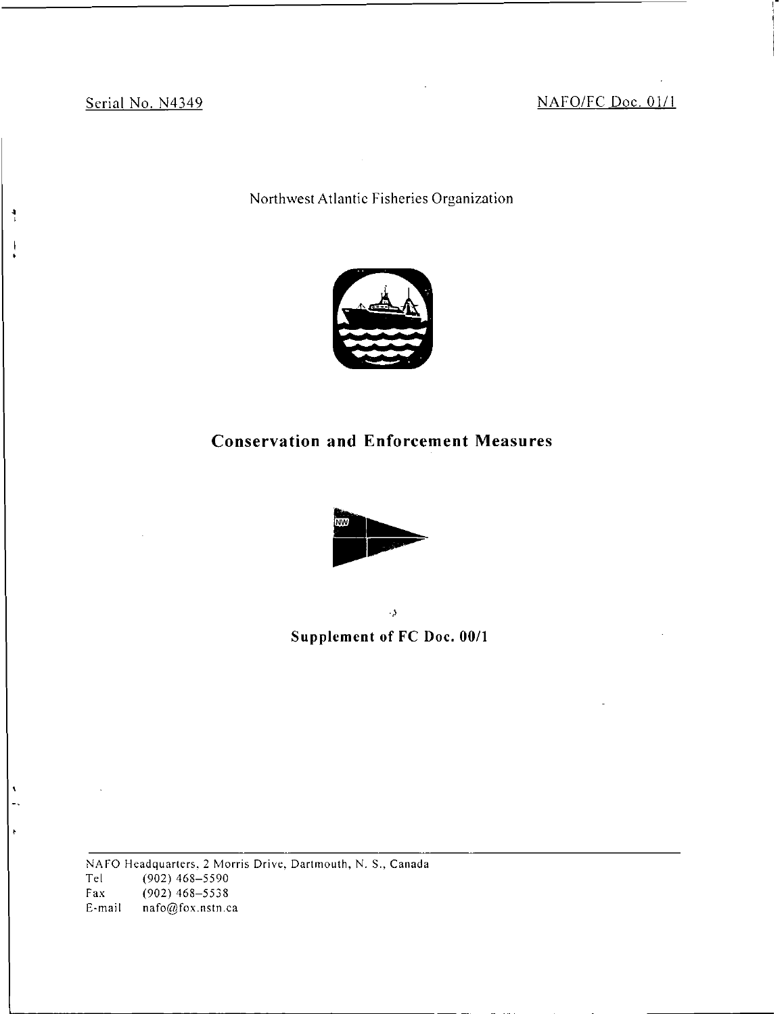$\frac{4}{1}$ 

J

Serial No. N4349 NAFO/FC Doc. 01/1

Northwest Atlantic Fisheries Organization



# Conservation and Enforcement Measures



 $\bar{\Delta}$ 

Supplement of FC Doc. 00/1

NAFO Headquarters, 2 Morris Drive, Dartmouth, N. S., Canada Tel (902) 468-5590 Fax (902) 468-5538 E-mail nafo@fox.nstn.ca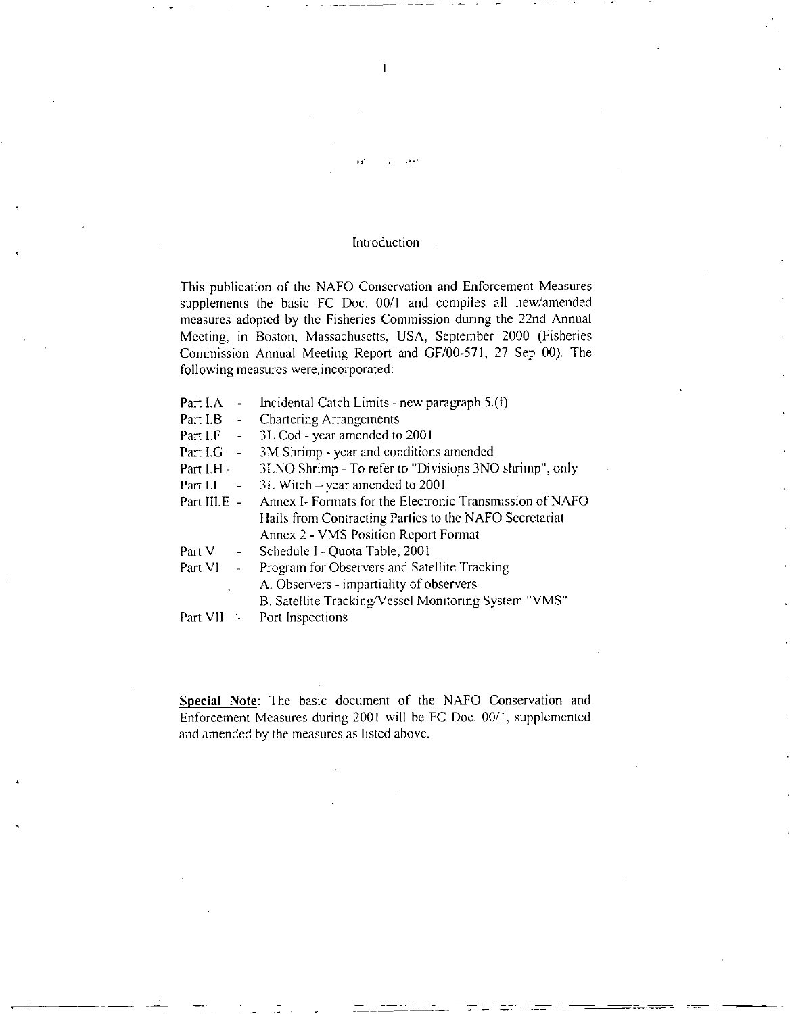### Introduction

This publication of the NAFO Conservation and Enforcement Measures supplements the basic FC Doc. 00/1 and compiles all new/amended measures adopted by the Fisheries Commission during the 22nd Annual Meeting, in Boston, Massachusetts, USA, September 2000 (Fisheries Commission Annual Meeting Report and GF/00-571, 27 Sep 00). The following measures were. incorporated:

| Part I.A     |                     | Incidental Catch Limits - new paragraph 5.(f)            |
|--------------|---------------------|----------------------------------------------------------|
| Part I.B $-$ |                     | <b>Chartering Arrangements</b>                           |
| Part I.F     | $\frac{1}{2}$       | 3L Cod - year amended to 2001                            |
| Part I.G     | $\sim$ $-$          | 3M Shrimp - year and conditions amended                  |
| Part I.H -   |                     | 3LNO Shrimp - To refer to "Divisions 3NO shrimp", only   |
| Part I.I     | $\omega_{\rm{max}}$ | 3L Witch - year amended to 2001                          |
| Part III.E - |                     | Annex I- Formats for the Electronic Transmission of NAFO |
|              |                     | Hails from Contracting Parties to the NAFO Secretariat   |
|              |                     | Annex 2 - VMS Position Report Format                     |
| Part V       | $\sim 100$          | Schedule I - Quota Table, 2001                           |
| Part VI      | $\sim$              | Program for Observers and Satellite Tracking             |
|              |                     | A. Observers - impartiality of observers                 |
|              |                     | B. Satellite Tracking/Vessel Monitoring System "VMS"     |
| Part VII     |                     | Port Inspections                                         |

Special Note: The basic document of the NAFO Conservation and Enforcement Measures during 2001 will be FC Doc. 00/1, supplemented and amended by the measures as listed above.

 $\mathbf{1}$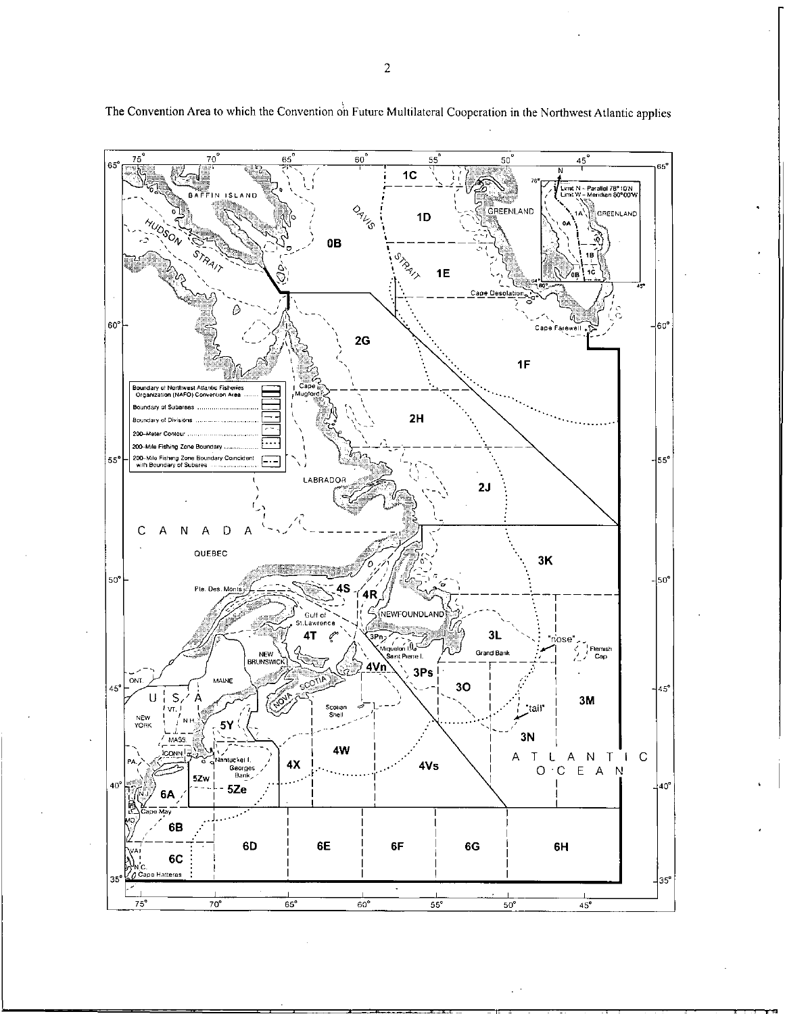

The Convention Area to which the Convention oh Future Multilateral Cooperation in the Northwest Atlantic applies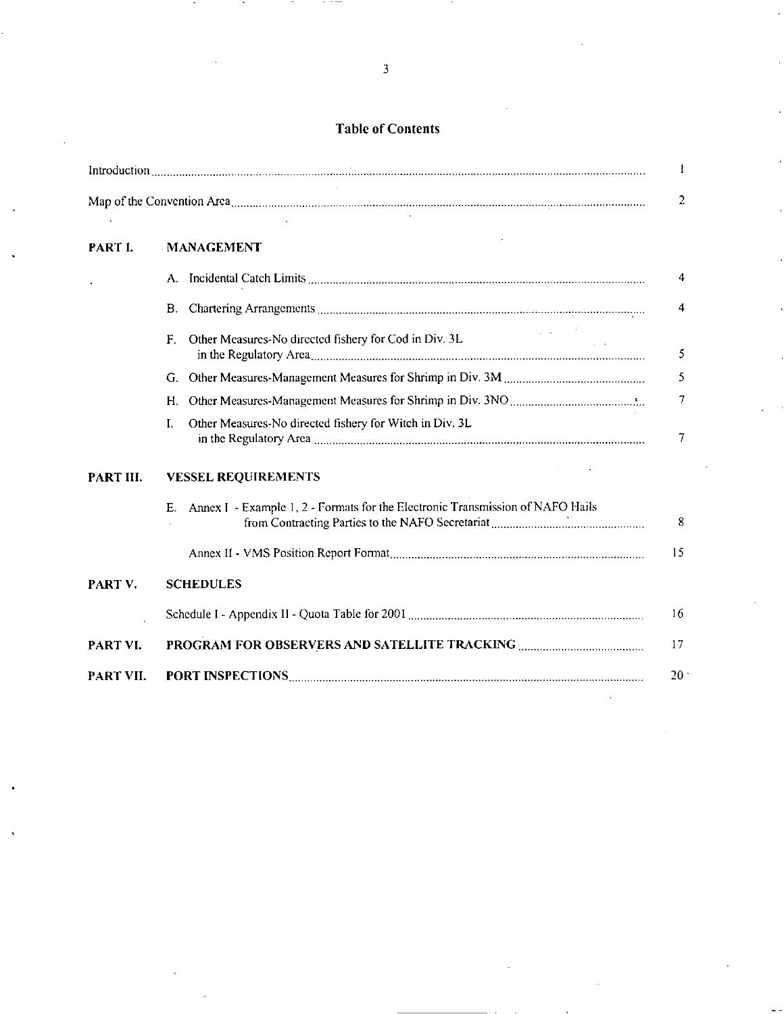# Table of Contents

|           |                                                                                                                               | T.                      |
|-----------|-------------------------------------------------------------------------------------------------------------------------------|-------------------------|
|           |                                                                                                                               | $\overline{2}$          |
| PART I.   | <b>MANAGEMENT</b>                                                                                                             |                         |
|           |                                                                                                                               | 4                       |
|           | <b>B.</b>                                                                                                                     | $\overline{\mathbf{4}}$ |
|           | $\mathcal{L}_{\rm{max}}$ and $\mathcal{L}_{\rm{max}}$<br>Other Measures-No directed fishery for Cod in Div. 3L<br>$F_{\perp}$ | 5                       |
|           | G.                                                                                                                            | 5                       |
|           | Н.                                                                                                                            | 7                       |
|           | Other Measures-No directed fishery for Witch in Div. 3L<br>$\mathbf{L}$                                                       | $\overline{7}$          |
| PART III. | <b>VESSEL REQUIREMENTS</b>                                                                                                    |                         |
|           | Annex I - Example 1, 2 - Formats for the Electronic Transmission of NAFO Hails<br>Е.                                          | 8                       |
|           |                                                                                                                               | 15                      |
| PART V.   | <b>SCHEDULES</b>                                                                                                              |                         |
|           |                                                                                                                               | 16                      |
| PART VI.  |                                                                                                                               | 17                      |
| PART VII. |                                                                                                                               | 20                      |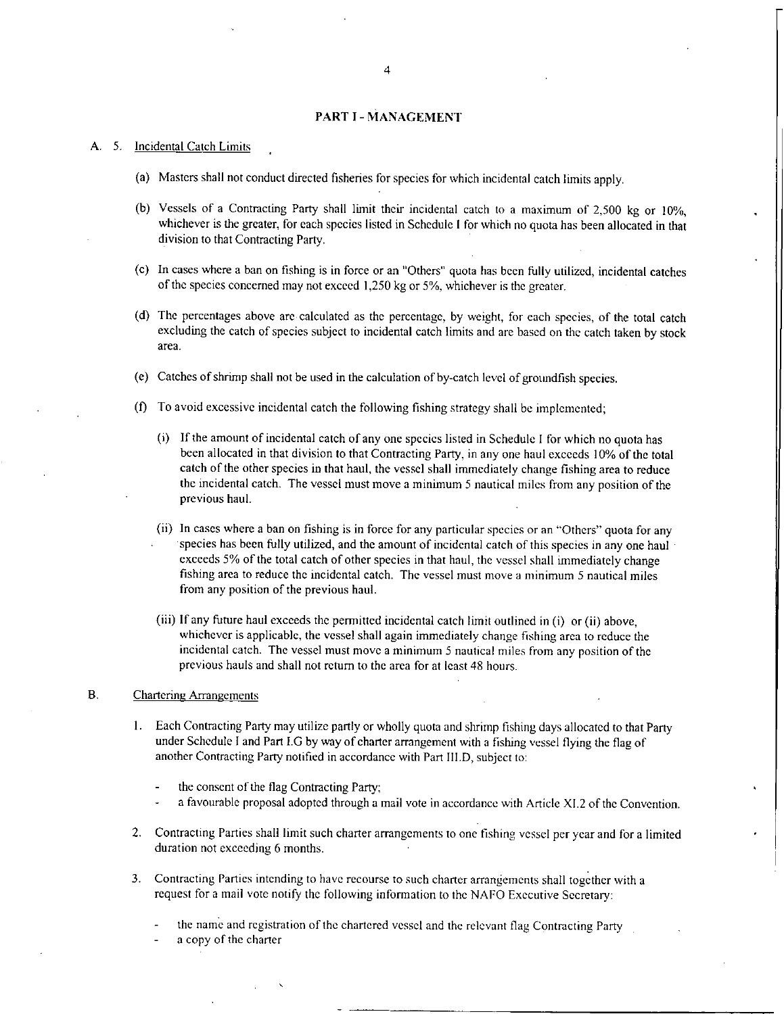#### PART I - MANAGEMENT

#### A. 5. Incidental Catch Limits

- (a) Masters shall not conduct directed fisheries for species for which incidental catch limits apply.
- (b) Vessels of a Contracting Party shall limit their incidental catch to a maximum of 2,500 kg or 10%, whichever is the greater, for each species listed in Schedule I for which no quota has been allocated in that division to that Contracting Party.
- (c) In cases where a ban on fishing is in force or an "Others" quota has been fully utilized, incidental catches of the species concerned may not exceed 1,250 kg or 5%, whichever is the greater.
- (d) The percentages above are calculated as the percentage, by weight, for each species, of the total catch excluding the catch of species subject to incidental catch limits and are based on the catch taken by stock area.
- (e) Catches of shrimp shall not be used in the calculation of by-catch level of groundfish species.
- (f) To avoid excessive incidental catch the following fishing strategy shall be implemented;
	- $(i)$  If the amount of incidental catch of any one species listed in Schedule I for which no quota has been allocated in that division to that Contracting Party, in any one haul exceeds 10% of the total catch of the other species in that haul, the vessel shall immediately change fishing area to reduce the incidental catch. The vessel must move a minimum 5 nautical miles from any position of the previous haul.
	- (ii) In cases where a ban on fishing is in force for any particular species or an "Others" quota for any species has been fully utilized, and the amount of incidental catch of this species in any one haul  $\cdot$ exceeds 5% of the total catch of other species in that haul, the vessel shall immediately change fishing area to reduce the incidental catch. The vessel must move a minimum 5 nautical miles from any position of the previous haul.
	- (iii) If any future haul exceeds the permitted incidental catch limit outlined in (i) or (ii) above, whichever is applicable, the vessel shall again immediately change fishing area to reduce the incidental catch. The vessel must move a minimum 5 nautical miles from any position of the previous hauls and shall not return to the area for at least 48 hours.

#### B. Chartering Arrangements

- I. Each Contracting Party may utilize partly or wholly quota and shrimp fishing days allocated to that Party under Schedule I and Part I.G by way of charter arrangement with a fishing vessel flying the flag of another Contracting Party notified in accordance with Part IILD, subject to:
	- the consent of the flag Contracting Party;
	- a favourable proposal adopted through a mail vote in accordance with Article Xl.2 of the Convention.
- 2. Contracting Parties shall limit such charter arrangements to one fishing vessel per year and for a limited duration not exceeding 6 months.
- 3. Contracting Parties intending to have recourse to such charter arrangements shall together with a request for a mail vote notify the following information to the NAPO Executive Secretary:
	- the name and registration of the chartered vessel and the relevant flag Contracting Party
	- a copy of the charter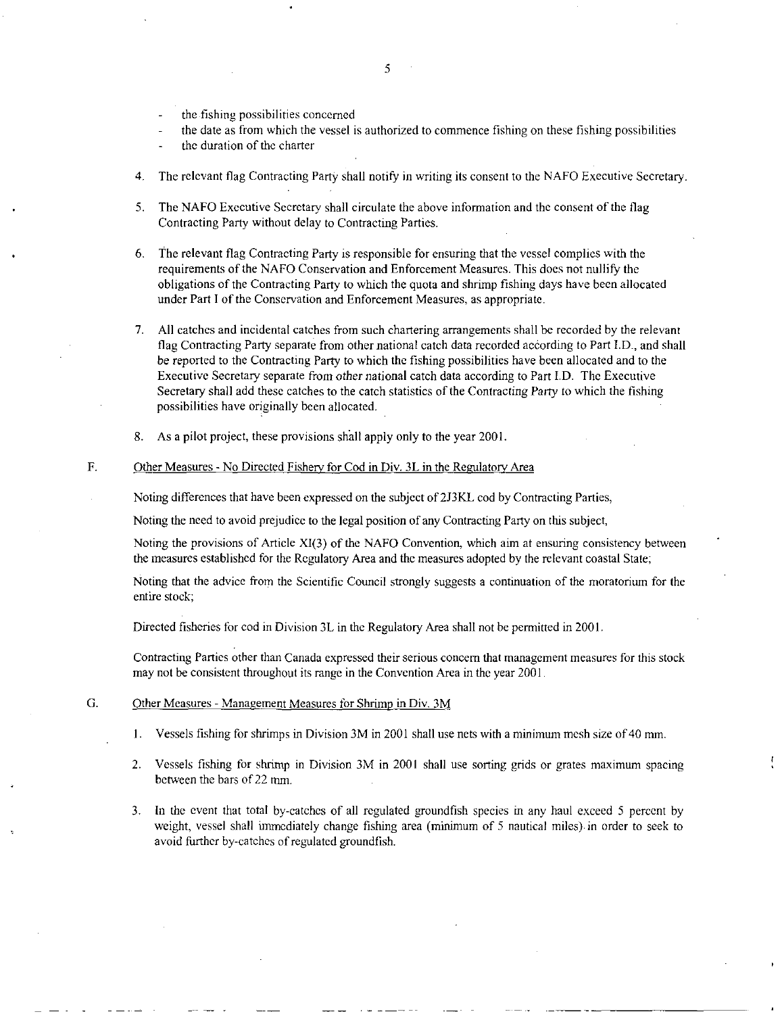- the fishing possibilities concerned
- the date as from which the vessel is authorized to commence fishing on these fishing possibilities
- the duration of the charter
- 4. The relevant flag Contracting Party shall notify in writing its consent to the NAFO Executive Secretary.
- 5. The NAFO Executive Secretary shall circulate the above information and the consent of the flag Contracting Party without delay to Contracting Parties.
- 6. The relevant flag Contracting Party is responsible for ensuring that the vessel complies with the requirements of the NAFO Conservation and Enforcement Measures. This does not nullify the obligations of the Contracting Party to which the quota and shrimp fishing days have been allocated under Part I of the Conservation and Enforcement Measures, as appropriate.
- 7. All catches and incidental catches from such chartering arrangements shall be recorded by the relevant flag Contracting Party separate from other national catch data recorded according to Part I.D., and shall be reported to the Contracting Party to which the fishing possibilities have been allocated and to the Executive Secretary separate from other national catch data according to Part I.D. The Executive Secretary shall add these catches to the catch statistics of the Contracting Party to which the fishing possibilities have originally been allocated. •
- 8. As a pilot project, these provisions sfiall apply only to the year 2001.

#### F. Other Measures - No Directed Fishery for Cod in Div. 3L in the Regulatory Area

Noting differences that have been expressed on the subject of 2J3KL cod by Contracting Parties,

Noting the need to avoid prejudice to the legal position of any Contracting Party on this subject,

Noting the provisions of Article X1(3) of the NAFO Convention, which aim at ensuring consistency between the measures established for the Regulatory Area and the measures adopted by the relevant coastal State;

Noting that the advice from the Scientific Council strongly suggests a continuation of the moratorium for the entire stock;

Directed fisheries for cod in Division 3L in the Regulatory Area shall not be permitted in 2001.

Contracting Parties other than Canada expressed their serious concern that management measures for this stock may not be consistent throughout its range in the Convention Area in the year 2001.

#### G. Other Measures - Management Measures for Shrimp in Div. 3M

- 1. Vessels fishing for shrimps in Division 3M in 2001 shall use nets with a minimum mesh size of 40 mm.
- 2. Vessels fishing for shrimp in Division 3M in 2001 shall use sorting grids or grates maximum spacing between the bars of 22 mm.
- 3. In the event that total by-catches of all regulated groundfish species in any haul exceed 5 percent by weight, vessel shall immediately change fishing area (minimum of 5 nautical miles) in order to seek to avoid further by-catches of regulated groundfish.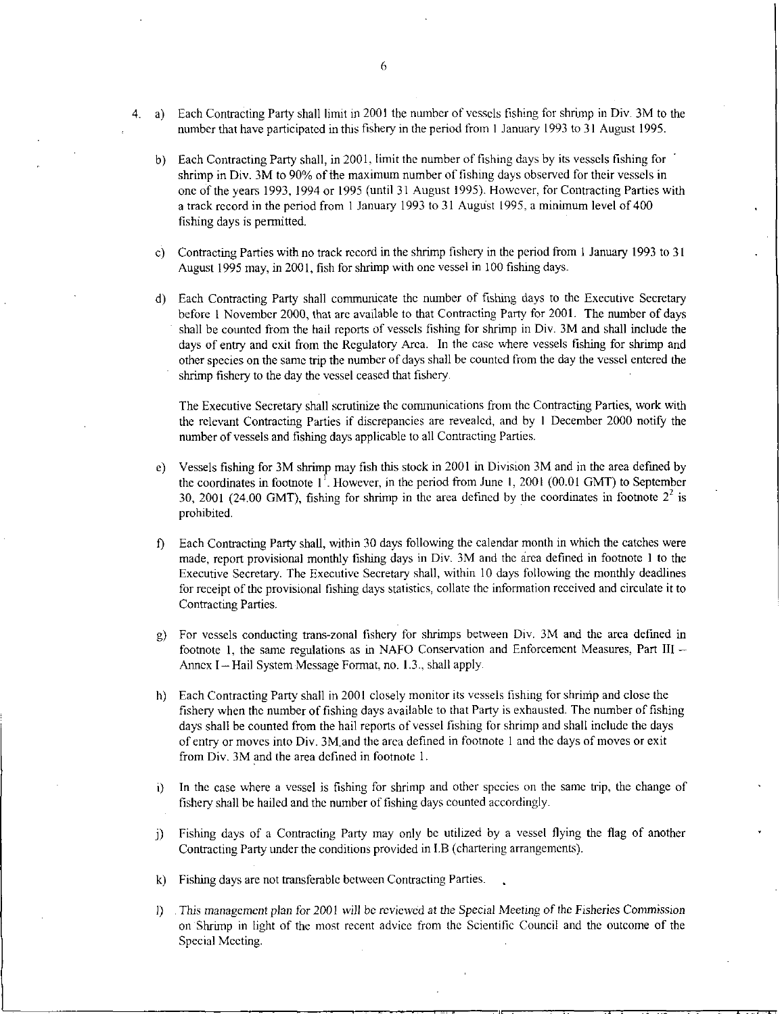- 4. a) Each Contracting Party shall limit in 2001 the number of vessels fishing for shrimp in Div. 3M to the number that have participated in this fishery in the period from 1 January 1993 to 31 August 1995.
	- b) Each Contracting Party shall, in 2001, limit the number of fishing days by its vessels fishing for shrimp in Div. 3M to 90% of the maximum number of fishing days observed for their vessels in one of the years 1993, 1994 or 1995 (until 31 August 1995). However, for Contracting Parties with a track record in the period from 1 January 1993 to 31 August 1995, a minimum level of 400 fishing days is permitted.
	- c) Contracting Parties with no track record in the shrimp fishery in the period from 1 January 1993 to 31 August 1995 may, in 2001, fish for shrimp with one vessel in 100 fishing days.
	- d) Each Contracting Party shall communicate the number of fishing days to the Executive Secretary before 1 November 2000, that are available to that Contracting Party for 2001. The number of days shall be counted from the hail reports of vessels fishing for shrimp in Div. 3M and shall include the days of entry and exit from the Regulatory Area. In the case where vessels fishing for shrimp and other species on the same trip the number of days shall be counted from the day the vessel entered the shrimp fishery to the day the vessel ceased that fishery.

The Executive Secretary shall scrutinize the communications from the Contracting Parties, work with the relevant Contracting Parties if discrepancies are revealed, and by I December 2000 notify the number of vessels and fishing days applicable to all Contracting Parties.

- e) Vessels fishing for 3M shrimp may fish this stock in 2001 in Division 3M and in the area defined by the coordinates in footnote  $1<sup>1</sup>$ . However, in the period from June 1, 2001 (00.01 GMT) to September 30, 2001 (24.00 GMT), fishing for shrimp in the area defined by the coordinates in footnote  $2<sup>2</sup>$  is prohibited.
- f) Each Contracting Party shall, within 30 days following the calendar month in which the catches were made, report provisional monthly fishing days in Div. 3M and the area defined in footnote 1 to the Executive Secretary. The Executive Secretary shall, within 10 days following the monthly deadlines for receipt of the provisional fishing days statistics, collate the information received and circulate it to Contracting Parties.
- g) For vessels conducting trans-zonal fishery for shrimps between Div. 3M and the area defined in footnote I, the same regulations as in NAFO Conservation and Enforcement Measures, Part III — Annex I - Hail System Message Format, no. 1.3., shall apply.
- h) Each Contracting Party shall in 2001 closely monitor its vessels fishing for shrinip and close the fishery when the number of fishing days available to that Party is exhausted. The number of fishing days shall be counted from the hail reports of vessel fishing for shrimp and shall include the days of entry or moves into Div. 3M, and the area defined in footnote I and the days of moves or exit from Div. 3M and the area defined in footnote 1.
- i) In the case where a vessel is fishing for shrimp and other species on the same trip, the change of fishery shall be hailed and the number of fishing days counted accordingly.
- j) Fishing days of a Contracting Party may only be utilized by a vessel flying the flag of another Contracting Party under the conditions provided in I.B (chartering arrangements).
- k) Fishing days are not transferable between Contracting Parties.
- 0 *This management plan* for 2001 will be *reviewed at the Special Meeting* of the Fisheries *Commission*  on Shrimp in light of the most recent advice from the Scientific Council and the outcome of the Special Meeting.

■■■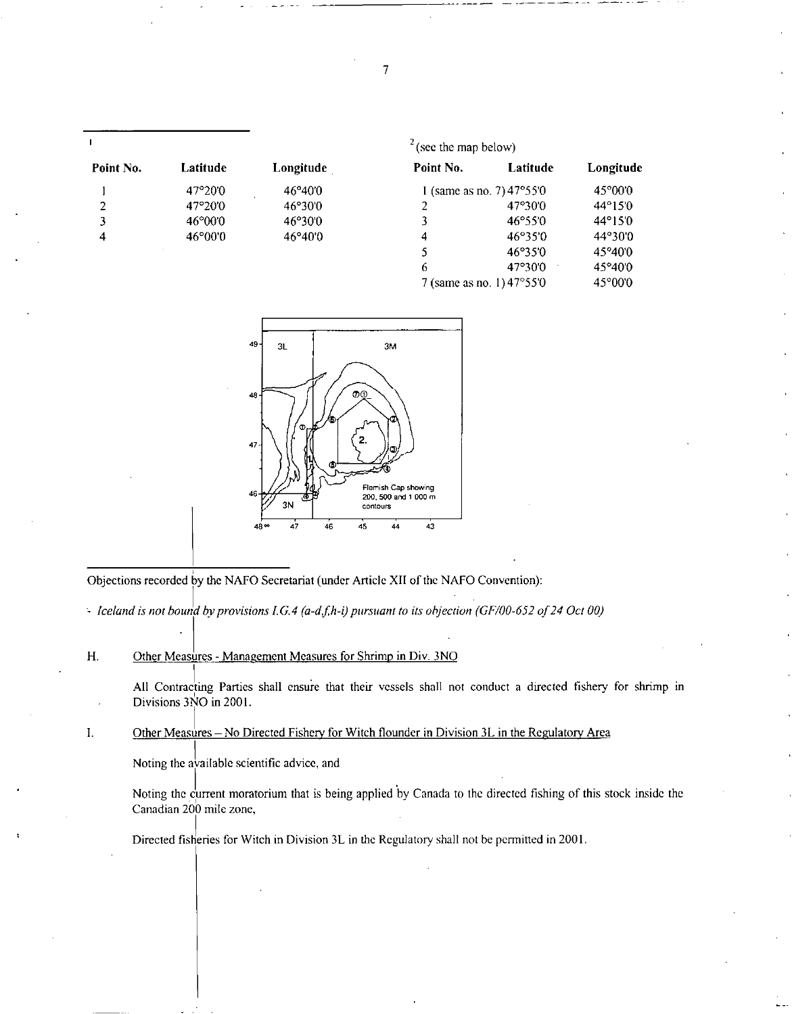|           |                 |           | $\frac{2}{3}$ (see the map below) |                           |                  |
|-----------|-----------------|-----------|-----------------------------------|---------------------------|------------------|
| Point No. | Latitude        | Longitude | Point No.                         | Latitude                  | Longitude        |
|           | 47°20′0         | 46°40'0   |                                   | l (same as no. 7) 47°55′0 | 45°00'0          |
| 2         | 47°20'0         | 46°30'0   |                                   | 47°30′0                   | 44°15′0          |
| 3         | $46^{\circ}000$ | 46°30'0   | 3                                 | 46°55'0                   | $44^{\circ}15'0$ |
| 4         | 46°00'0         | 46°40'0   | 4                                 | 46°350                    | 44°30'0          |
|           |                 |           | 5                                 | 46°35'0                   | 45°40′0          |
|           |                 |           | 6                                 | 47°30'0                   | 45°40′0          |
|           |                 |           |                                   | 7 (same as no. 1) 47°55′0 | 45°00'0          |



Objections recorded by the NAFO Secretariat (under Article XII of the NAFO Convention):

*Iceland is not bound by provisions LG.4 (a-d,f,h-i) pursuant to its objection (GF/00-652 of 24 Oct 00)* 

H. Other Measures - Management Measures for Shrimp in Div. 3NO

All Contracting Parties shall ensure that their vessels shall not conduct a directed fishery for shrimp in Divisions 3NO in 2001.

 ${\bf I}.$ Other Measures—No Directed Fishery for Witch flounder in Division 3L in the Regulatory Area

Noting the available scientific advice, and

Noting the current moratorium that is being applied by Canada to the directed fishing of this stock inside the Canadian 200 mile zone,

Directed fisheries for Witch in Division 3L in the Regulatory shall not be permitted in 2001.

7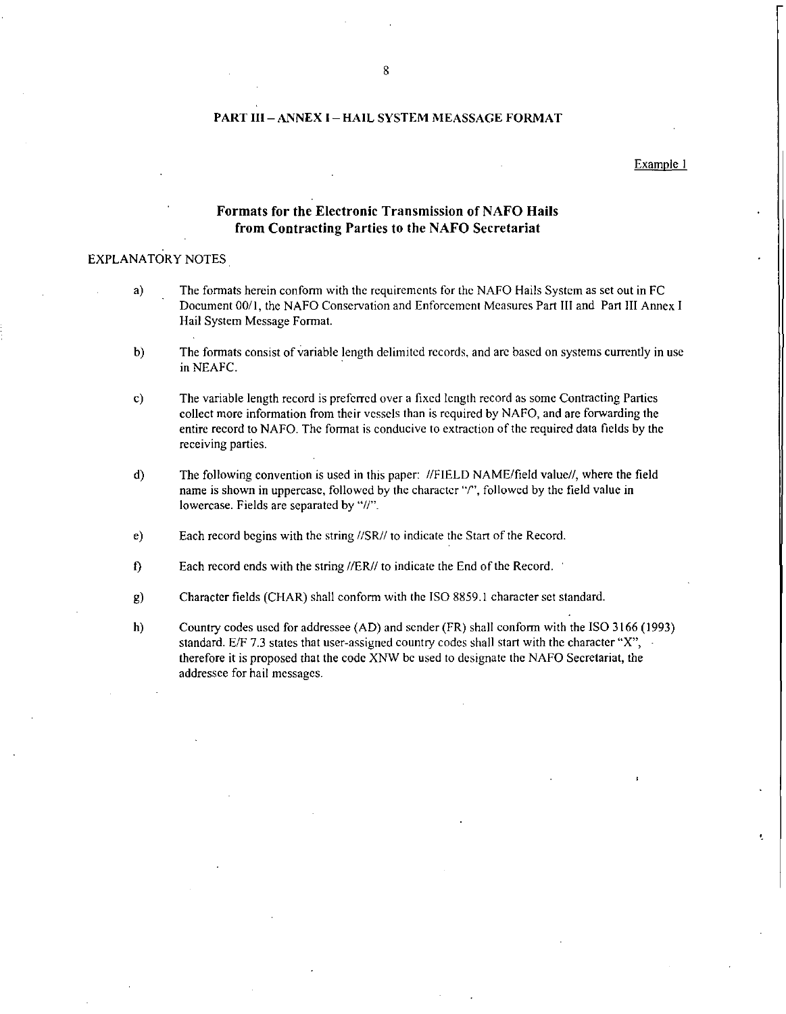#### PART III—ANNEX I — HAIL SYSTEM MEASSAGE FORMAT

#### Example 1

¥,

#### Formats for the Electronic Transmission of NAFO Hails from Contracting Parties to the NAFO Secretariat

#### EXPLANATORY NOTES

- a) The formats herein conform with the requirements for the NAFO Hails System as set out in FC Document 00/1, the NAFO Conservation and Enforcement Measures Part III and Part III Annex I Hail System Message Format.
- b) The formats consist of variable length delimited records, and are based on systems currently in use in NEAFC.
- c) The variable length record is preferred over a fixed length record as some Contracting Parties collect more information from their vessels than is required by NAFO, and are forwarding the entire record to NAFO. The format is conducive to extraction of the required data fields by the receiving parties.
- d) The following convention is used in this paper: //FIELD NAME/field value//, where the field name is shown in uppercase, followed by the character "/", followed by the field value in lowercase. Fields are separated by "//".
- e) Each record begins with the string //SR// to indicate the Start of the Record.
- 0 Each record ends with the string //ER// to indicate the End of the Record. '
- g) Character fields (CHAR) shall conform with the ISO 8859.1 character set standard.
- h) Country codes used for addressee (AD) and sender (FR) shall conform with the ISO 3166 (1993) standard. E/F 7.3 states that user-assigned country codes shall start with the character "X", therefore it is proposed that the code XNW be used to designate the NAFO Secretariat, the addressee for hail messages.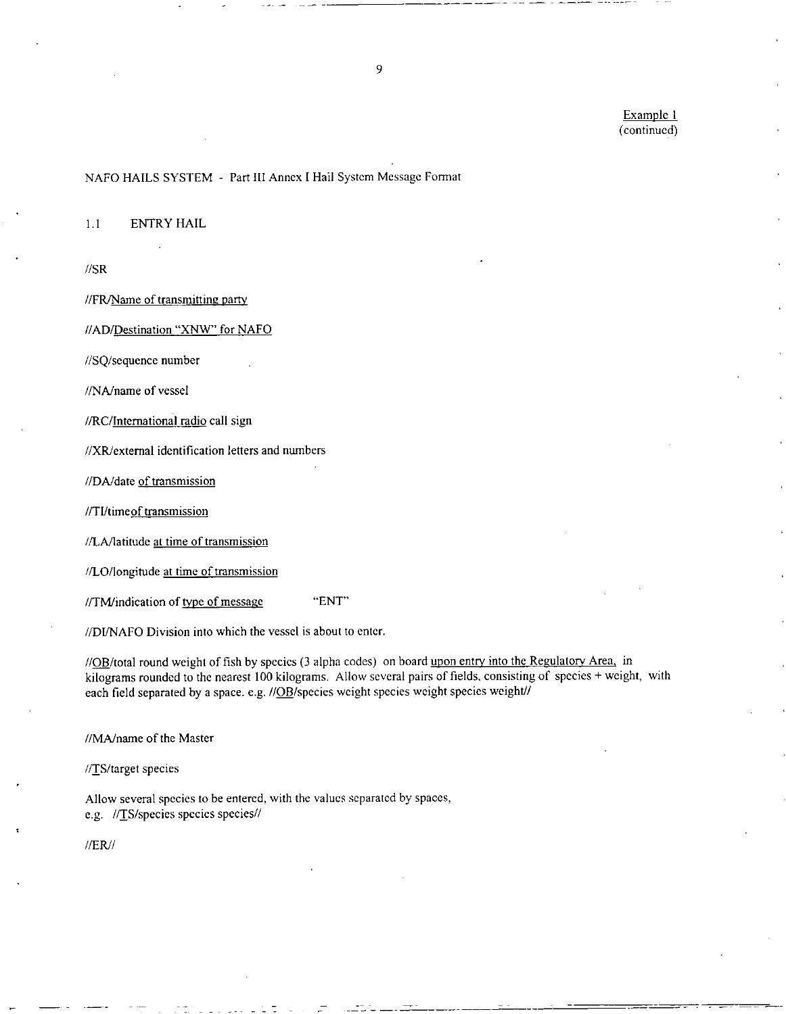Example I (continued)

#### NAFO HAILS SYSTEM - Part III Annex I Hail System Message Format

1.1 ENTRY HAIL

//SR

//FR/Name of transmitting party

//AD/Destination "XNW" for NAFO

//SQ/sequence number

//NA/name of vessel

//RC/International radio call sign

//XR/extemal identification letters and numbers

//DA/date of transmission

//TI/timeof transmission

//LA/latitude at time of transmission

//LO/longitude at time of transmission

//TM/indication of type of message "ENT"

//DI/NAFO Division into which the vessel is about to enter.

//OB/total round weight of fish by species (3 alpha codes) on board upon entry into the Regulatory Area, in kilograms rounded to the nearest 100 kilograms. Allow several pairs of fields, consisting of species + weight, with each field separated by a space. e.g. //OB/species weight species weight species weight//

//MA/name of the Master

//TS/target species

Allow several species to be entered, with the values separated by spaces, e.g. //TS/species species species//

//ER//

9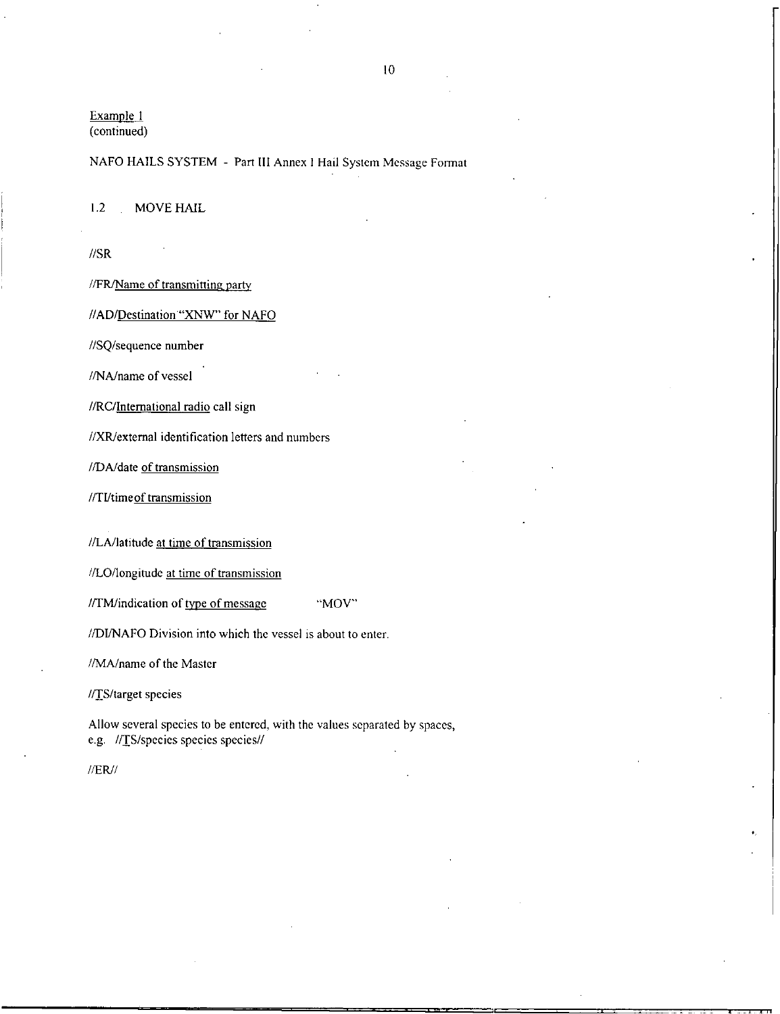Example I (continued)

### NAFO HAILS SYSTEM - Part III Annex I Hail System Message Format

1.2 MOVE HAIL

//SR

//FR/Name of transmitting party

//AD/Destination "XNW" for NAFO

//SQ/sequence number

//NA/name of vessel

//RC/International radio call sign

//XR/extemal identification letters and numbers

//DA/date of transmission

//TUtimeof transmission

//LA/latitude at time of transmission

//LO/longitude at time of transmission

//TM/indication of type of message "MOV"

//DUNAFO Division into which the vessel is about to enter.

//MA/name of the Master

//TS/target species

Allow several species to be entered, with the values separated by spaces, e.g. //TS/species species species//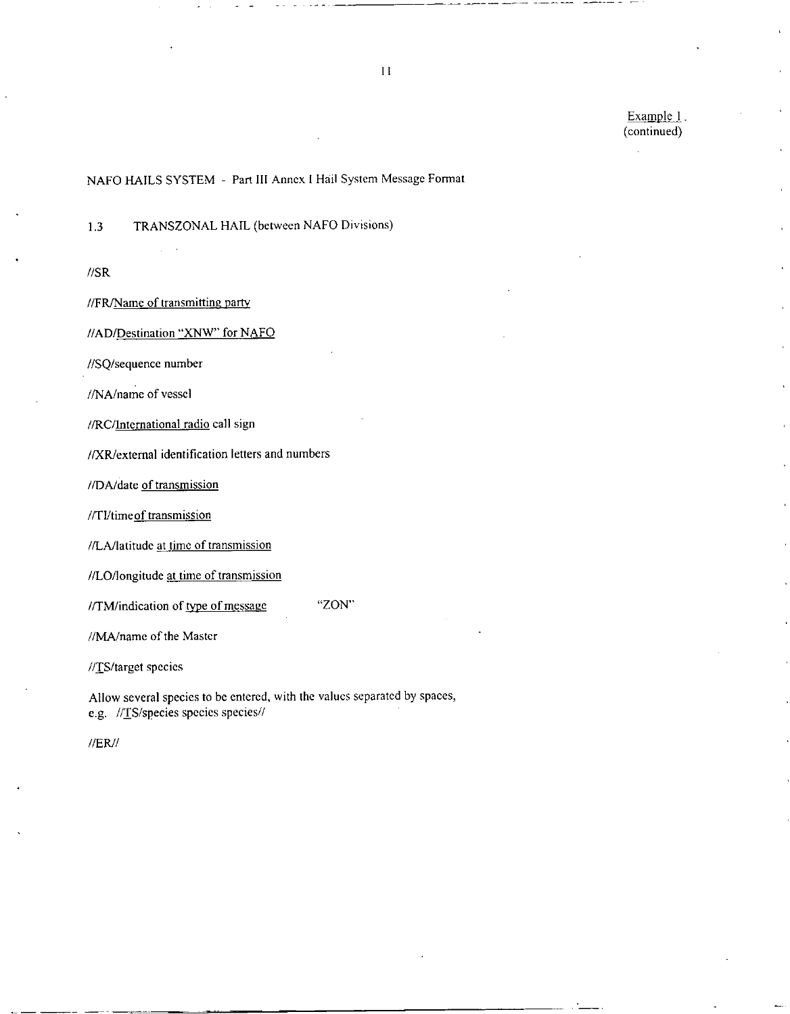Example 1. (continued)

# NAFO HAILS SYSTEM - Part III Annex I Hail System Message Format

1.3 TRANSZONAL HAIL (between NAFO Divisions)

//SR

//FR/Nameof transmitting party

//AD/Destination "XNW" for NAFO

//SQ/sequence number

//NA/name of vessel

//RC/International radio call sign

//XR/external identification letters and numbers

//DA/date of transmission

//TI/timeof transmission

//LA/latitude at time of transmission

//LO/longitude at time of transmission

//TM/indication of type of message "ZON"

//MA/name of the Master

//TS/target species

Allow several species to be entered, with the values separated by spaces, e.g. //TS/species species species//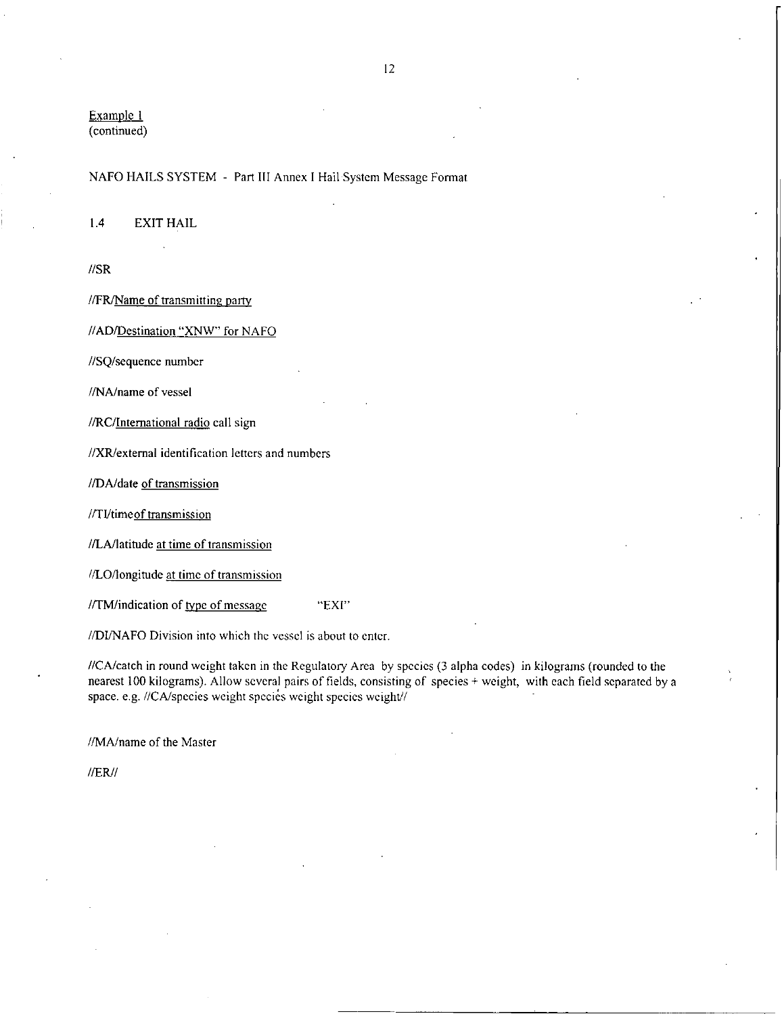Example 1 (continued)

#### NAFO HAILS SYSTEM - Part III Annex I Hail System Message Format

1.4 EXIT HAIL

//SR

//FR/Name of transmitting party

//AD/Destination "XNW" for NAFO

//SQ/sequence number

//NA/name of vessel

//RC/International radio call sign

//XR/extemal identification letters and numbers

//DA/date of transmission

//TI/timeof transmission

//LA/latitude at time of transmission

//LO/longitude at time of transmission

//TM/indication of type of message "EXI"

//DI/NAFO Division into which the vessel is about to enter.

//CA/catch in round weight taken in the Regulatory Area by species (3 alpha codes) in kilograms (rounded to the nearest 100 kilograms). Allow several pairs of fields, consisting of species + weight, with each field separated by a space. e.g. //CA/species weight species weight species weight//

//MA/name of the Master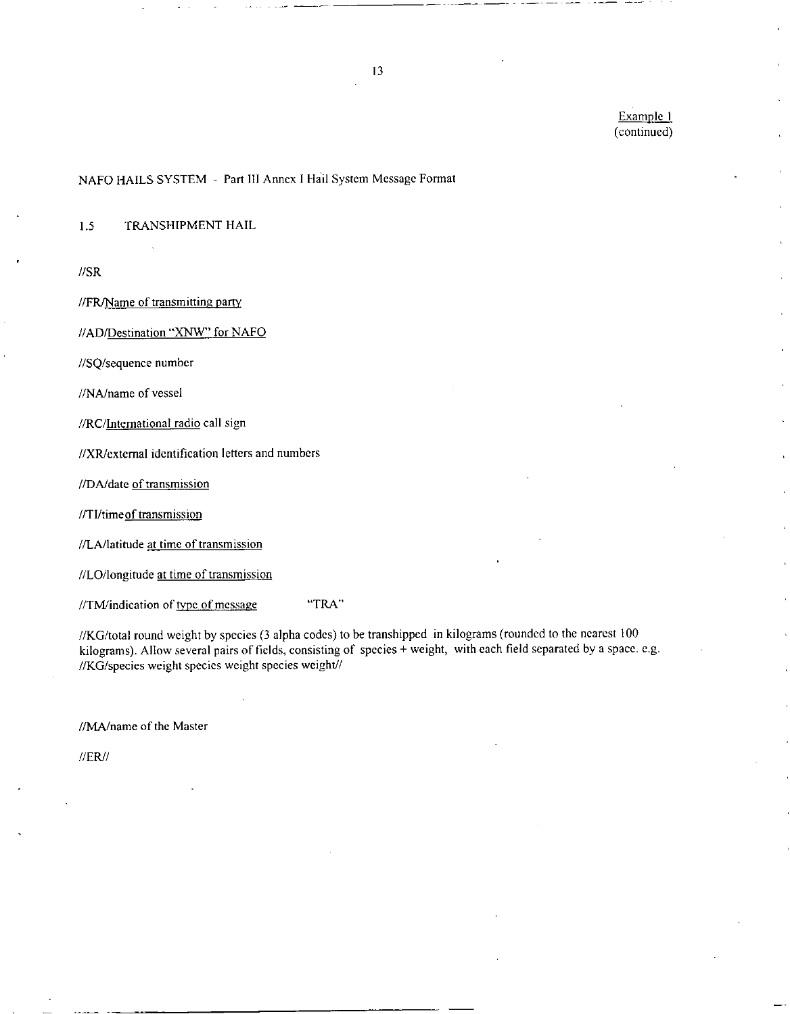Example I (continued)

# NAFO HAILS SYSTEM - Part III Annex I Hail System Message Format

1.5 TRANSHIPMENT HAIL

//SR

//FR/Nameof transmitting party

//AD/Destination "XNW" for NAFO

//SQ/sequence number

//NA/name of vessel

//RC/International radio call sign

//XR/extemal identification letters and numbers

//DA/date of transmission

//TI/timeof transmission

//LA/latitude at time of transmission

//LO/longitude at time of transmission

//TM/indication of type of message "TRA"

//KG/total round weight by species (3 alpha codes) to be transhipped in kilograms (rounded to the nearest 100 kilograms). Allow several pairs of fields, consisting of species + weight, with each field separated by a space. e.g. //KG/species weight species weight species weight//

//MA/name of the Master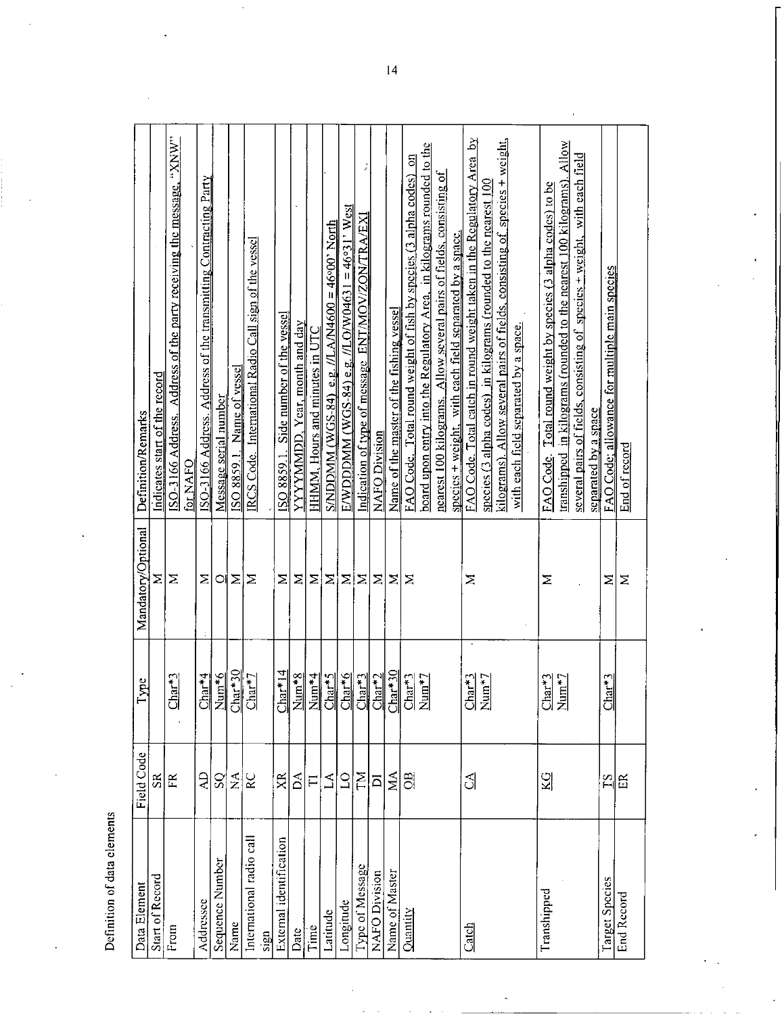| ļ<br>vante<br>ŗ          |  |
|--------------------------|--|
| Ĵ<br>$\frac{1}{2}$<br>نې |  |
| ļ<br>ion                 |  |

| Indicates start of the record<br><b>Definition/Remarks</b><br>Mandatory/Optional<br>ype                                                 |
|-----------------------------------------------------------------------------------------------------------------------------------------|
| Σ                                                                                                                                       |
| ISO-3166 Address. Address of the party receiving the message, "XNW"<br>for NAFO<br>Σ<br>$Char+3$                                        |
| ISO-3166 Address. Address of the transmitting Contracting Party<br>Σ                                                                    |
| Message serial number<br>ା<br>$\frac{\text{Char}^{\star 4}}{\text{Num}^{\star 6}}$                                                      |
| ISO 8859.1. Name of vessel<br>Σ<br>$\frac{\text{Char} * 30}{\text{Char} * 30}$                                                          |
| IRCS Code. International Radio Call sign of the vessel<br>Σ<br>$Char*7$                                                                 |
| ISO 8859.1. Side number of the vessel<br>Σ<br>$r^*14$                                                                                   |
| YYYYMMDD, Year, month and day<br>Σ<br>$\frac{\text{Char}^*14}{\text{Num}^*8}$                                                           |
| <b>HHMM, Hours and minutes in UTC</b><br>Σ                                                                                              |
| $\frac{\text{SMDDMM}}{\text{WOS-84}}$ e.g. <i>I</i> LA/N4600 = 46°00' North<br>Σ                                                        |
| $\mathrm{EWDDDMM}$ (WGS-84) e.g. //LO/W04631 = 46°31' West<br>Σ<br>$\frac{\frac{1}{\text{sum}+5}}{\frac{\text{Char}+5}{\text{Char}+2}}$ |
| Indication of type of message ENT/MOV/ZON/TRA/EX<br>Σ                                                                                   |
| NAFO Division<br>Σ                                                                                                                      |
| Name of the master of the fishing vessel<br>Σ                                                                                           |
| FAO Code. Total round weight of fish by species $(3$ alpha codes)<br>Σ<br>$\frac{\text{Char}^*3}{\text{Num}^*7}$                        |
| board upon entry into the Regulatory Area, in kilograms rounded to the                                                                  |
| nearest 100 kilograms. Allow several pairs of fields, consisting of                                                                     |
| species + weight, with each field separated by a space.                                                                                 |
| Σ<br>$\frac{\text{Char}^*}{\text{Num}^*2}$                                                                                              |
|                                                                                                                                         |
|                                                                                                                                         |
|                                                                                                                                         |
| Σ<br>$\frac{\text{Char}^*3}{\text{Num}^*7}$                                                                                             |
|                                                                                                                                         |
|                                                                                                                                         |
|                                                                                                                                         |
| Σ<br>$Char*3$                                                                                                                           |
| Σ                                                                                                                                       |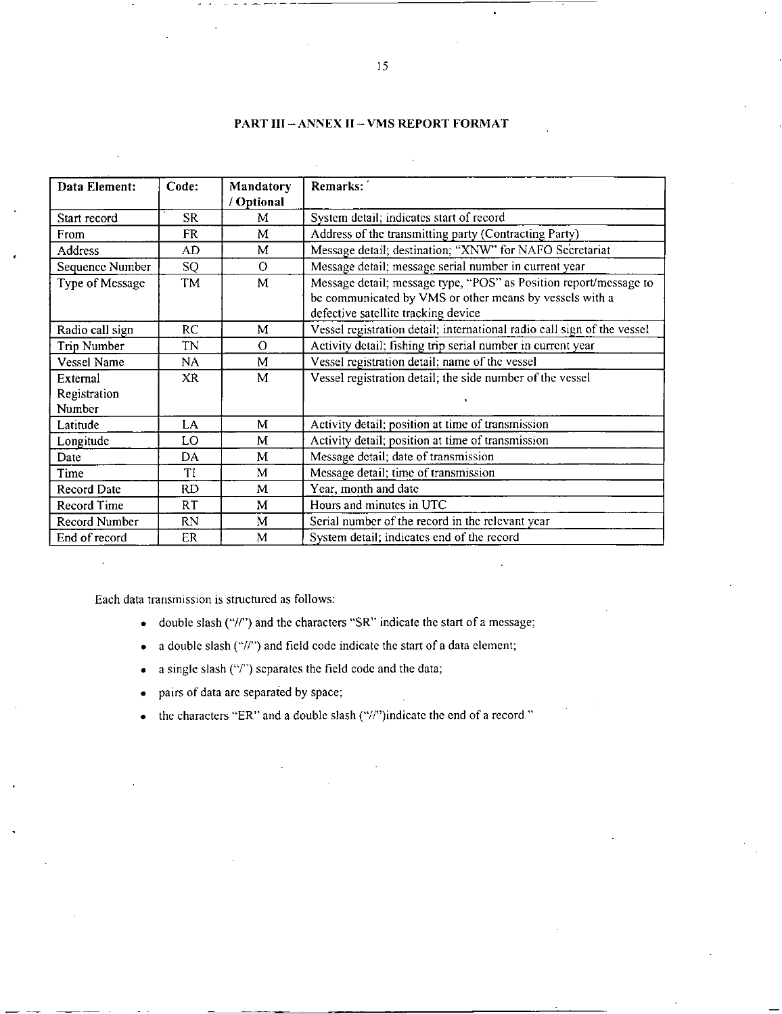#### PART III — ANNEX II — VMS REPORT FORMAT

| Data Element:      | Code:     | Mandatory<br>/ Optional | Remarks:                                                                                                                                                            |
|--------------------|-----------|-------------------------|---------------------------------------------------------------------------------------------------------------------------------------------------------------------|
| Start record       | <b>SR</b> | М                       | System detail; indicates start of record                                                                                                                            |
| From               | FR        | M                       | Address of the transmitting party (Contracting Party)                                                                                                               |
| <b>Address</b>     | AD.       | M                       | Message detail; destination; "XNW" for NAFO Secretariat                                                                                                             |
| Sequence Number    | SQ        | $\Omega$                | Message detail; message serial number in current year                                                                                                               |
| Type of Message    | TM        | M                       | Message detail; message type, "POS" as Position report/message to<br>be communicated by VMS or other means by vessels with a<br>defective satellite tracking device |
| Radio call sign    | RC.       | М                       | Vessel registration detail; international radio call sign of the vessel                                                                                             |
| Trip Number        | TN        | $\Omega$                | Activity detail; fishing trip serial number in current year                                                                                                         |
| <b>Vessel Name</b> | NA        | M                       | Vessel registration detail; name of the vessel                                                                                                                      |
| External           | XR.       | M                       | Vessel registration detail; the side number of the vessel                                                                                                           |
| Registration       |           |                         |                                                                                                                                                                     |
| Number             |           |                         |                                                                                                                                                                     |
| Latitude           | LA        | M                       | Activity detail; position at time of transmission                                                                                                                   |
| Longitude          | LO        | M                       | Activity detail; position at time of transmission                                                                                                                   |
| Date               | DA        | M                       | Message detail; date of transmission                                                                                                                                |
| Time               | TI        | M                       | Message detail; time of transmission                                                                                                                                |
| Record Date        | RD.       | М                       | Year, month and date                                                                                                                                                |
| Record Time        | RT        | M                       | Hours and minutes in UTC                                                                                                                                            |
| Record Number      | <b>RN</b> | М                       | Serial number of the record in the relevant year                                                                                                                    |
| End of record      | ER        | M                       | System detail; indicates end of the record                                                                                                                          |

Each data transmission is structured as follows:

- double slash ("//") and the characters "SR" indicate the start of a message;
- a double slash ("//") and field code indicate the start of a data element;
- a single slash ("/") separates the field code and the data;
- pairs of data are separated by space;
- the characters "ER" and a double slash ("//")indicate the end of a record."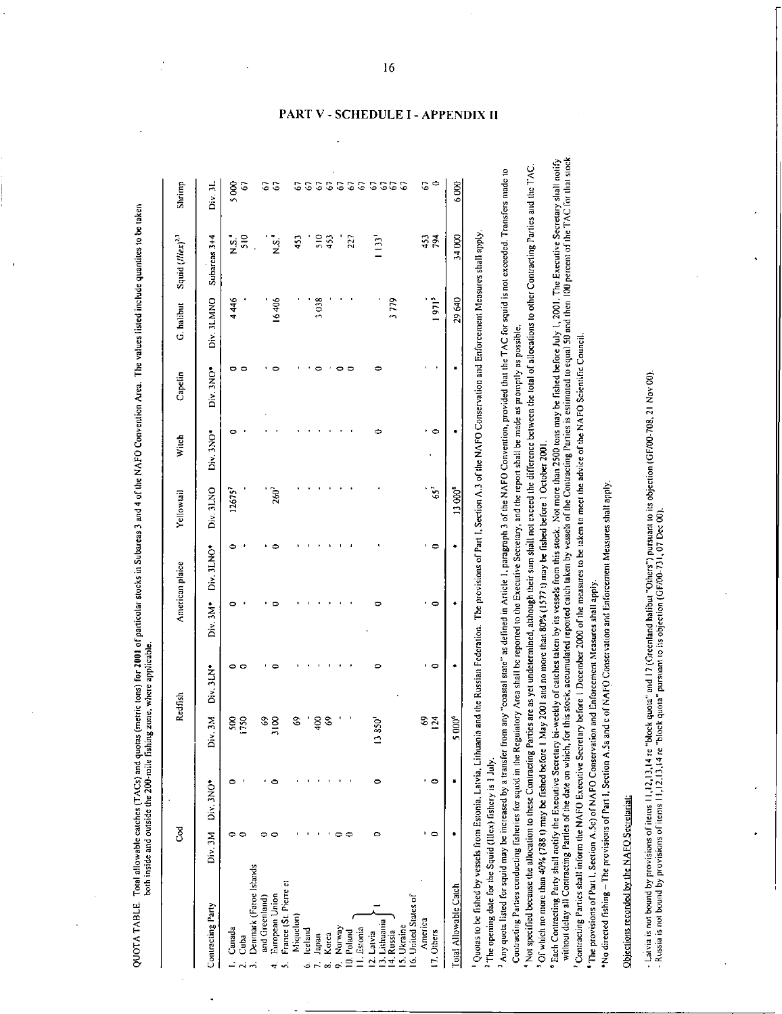|                                     | टु      |           |                      | Redfish      |          | American plaice | Yellowtail         | Witch                | Capelin   | G. halibut        | Squid (Illex) <sup>2,3</sup> | Shrimp               |
|-------------------------------------|---------|-----------|----------------------|--------------|----------|-----------------|--------------------|----------------------|-----------|-------------------|------------------------------|----------------------|
| Contracting Party                   | Div. 3M | Div. 3NO* | Div. 3M              | Div. 3LN*    | Div. 3M* | Div. 3LNO*      | Div. 3LNO          | Div <sub>3NO</sub> . | Div. 3NO* | Div. 3LMNO        | Subareas 3+4                 | Div. 3L              |
| Canada                              |         | っ         | $\approx$            | 0<br>$\circ$ | c        | ≏               | 12675 <sup>7</sup> | o                    | 0         | 4446              | $\frac{1}{2}$                | 5000                 |
| Denmark (Faroe Islands<br>Cuba      |         |           | 120                  |              |          |                 |                    |                      | 0         |                   | $\frac{510}{2}$              | G                    |
| and Greenland)                      |         |           | $\mathcal{C}$        |              |          |                 |                    |                      |           |                   |                              | 5                    |
| European Union                      |         |           | 3100                 |              |          |                 | <b>160</b>         |                      |           | 16406             | $\frac{5}{2}$                | G                    |
| France (St. Pierre et<br>Miquelon)  |         |           | S                    |              |          |                 |                    |                      |           |                   | $\frac{45}{3}$               | G7                   |
| lceland                             |         |           |                      |              |          |                 |                    |                      |           |                   |                              | $\mathcal{C}$        |
| Japan                               |         |           | $\frac{2}{3}$        |              |          |                 |                    |                      |           | 3038              | 510                          |                      |
| Korea                               |         |           | S,                   |              |          |                 |                    |                      |           |                   | 453                          |                      |
| Norway                              |         |           |                      |              |          |                 |                    |                      |           |                   |                              | 555                  |
| 10. Poland                          |         |           |                      |              |          |                 |                    |                      | ∊         |                   | 227                          | 67                   |
| I. Estonia                          |         |           |                      |              |          |                 |                    |                      |           |                   |                              | 67                   |
| 3. Lithuania<br>2. Latvia           | c       | 0         | $13850$ <sup>1</sup> | 0            |          |                 |                    | Φ                    | ۰         |                   | $\overline{1}$               | $\mathbf{c}$         |
| 14. Russia                          |         |           |                      |              |          |                 |                    |                      |           | 3779              |                              | 55                   |
| 16. United States of<br>15. Ukraine |         |           |                      |              |          |                 |                    |                      |           |                   |                              | $\mathcal{C}$        |
| America                             |         |           | S9                   |              |          |                 |                    |                      |           |                   |                              | 67                   |
| 7 Others                            | ٠       | $\circ$   | 124                  | $\circ$      | ۰        | 0               | $65^7$             | $\circ$              |           | 1971 <sup>5</sup> | 453                          | $\ddot{\phantom{0}}$ |
| Total Allowable Catch               |         |           | 5 000*               |              |          |                 | 13.000             |                      |           | 29640             | 340000                       | 6000                 |

 2 -5 Enforc<br>e TAC<br>s possi .<br>.<br>. The opening date for the Squid (Illex) fishery is 1 July.

 $\tilde{\mathbf{g}}$ Of which no more than  $40\%$  (788 t) may be fished before 1 May 2001 and no more than  $80\%$  (1577 t) may be fished before 1 October 2001.

n<br>E & E<br>B eenen Meas<br>16r squid is r<br>ble.<br>ions to other I<br>b and then 10<br>0 and then 10  $\begin{array}{ccc} 2 & 2 & 3 \ 2 & 2 & 3 \ 2 & 3 & 5 \end{array}$ ided tha<br>prompt<br>the total<br>e fished<br>imated<br>Scientil 2  $\frac{1}{2}$  .  $\frac{1}{2}$  is a  $\frac{1}{2}$  is a  $\frac{1}{2}$  . V.3 of the NAFO Consection, provertion, provertion, provertion, provertion, provertion, provertion, provertion, provertion, provertion, and the difference between of the MAFC containing Parties is essention to advice of th 2 <sup>C</sup>2 -0 - T es- -Section<br>3 of the exection<br>3 before<br>5 5 of the me<br>4 s shall<br>3 s shall The provisions of Part 1,<br>in Article 1, paragraph<br>the Executive Secretar<br>hough their sum shall n<br>in V sessels from this stock<br>wessels from this stock<br>ed catch taken by vesse<br>net measures to be take<br>net measures to be taken Fration. The section of  $\frac{1}{2}$  s defined to ported to ported to the position  $\frac{1}{2}$  at the  $\frac{1}{2}$  of  $\frac{1}{2}$  c v  $\frac{1}{2}$  of  $\frac{1}{2}$   $\frac{1}{2}$   $\frac{1}{2}$   $\frac{1}{2}$   $\frac{1}{2}$   $\frac{1}{2}$   $\frac{1}{2}$   $\frac{1}{2}$   $\frac{$ Federa<br>
oastal stare" as<br>
rea shall be repertining<br>
s yet undetermining<br>
and no more the<br>
of catches take<br>
ck, accumulate<br>
e 1 December 2<br>
forcement Mea  $e^{i}$ ,  $e^{i}$ ,  $e^{i}$   $\overline{e}$ ,  $\overline{e}$ ,  $\overline{e}$ ,  $\overline{e}$ ,  $\overline{e}$ ,  $\overline{e}$ ,  $\overline{e}$ ,  $\overline{e}$ ,  $\overline{e}$ ,  $\overline{e}$ ,  $\overline{e}$ ,  $\overline{e}$ ,  $\overline{e}$ ,  $\overline{e}$ ,  $\overline{e}$ ,  $\overline{e}$ ,  $\overline{e}$ ,  $\overline{e}$ ,  $\overline{e}$ ,  $\overline{e}$ <sup>2</sup>,, .2 vo " 2 5 g et -5Ln E E i . 5 c 4 <sup>5</sup>• E 2. .fs ..: : . "l<sup>c</sup>,. 2 e. 0 z , - . r, i\_ v *<sup>0</sup>\_* - - .\_ re a tvia, Lihua<br>1 1 July.<br>2 transfer fr<br>3 tin the Regner and in the Regner<br>mated before 1<br>ce Secretary and Secretary<br>2 conving Secretary<br>2 Conserval - Hallecry is the property of fishery is ecceased by<br>creased by square conditions on the Execution of the Execution<br>may be fished that the execution of  $\theta$  of  $\theta$  of  $\theta$  of  $\theta$  of  $\theta$  is of the data of  $\theta$ seds from<br>iquid (Ille.<br>may be in<br>ting fishedion<br>all notify be interesting the set of the partie<br>ing Partie<br>form the rection A...<br>provisions in the rection A...<br>**NAFO Se** shed by vessels from<br>the for the Squid (Illes<br>d for squid may be in<br>thes conducting fishe<br>ceause the allocation<br>or han 40% (788 t)<br>may be an allocation the<br>dist shall inform the<br>of Part I, Section A.5<br>of Part I, Section A. e fish<br>g dated<br>ration -2 . Parti<br>external appearance of particles<br>reference of particles  $\frac{16}{12}$  ,  $\frac{16}{12}$   $\frac{16}{12}$  ,  $\frac{16}{12}$  ,  $\frac{16}{12}$  ,  $\frac{16}{12}$  ,  $\frac{16}{12}$  ,  $\frac{16}{12}$  ,  $\frac{16}{12}$  ,  $\frac{16}{12}$  ,  $\frac{16}{12}$  ,  $\frac{16}{12}$  ,  $\frac{16}{12}$  ,  $\frac{16}{12}$  ,  $\frac{16}{12}$  ,  $\frac{16}{12}$  ,  $\frac{1}{2}$  is a set of  $\frac{1}{2}$  of  $\frac{1}{2}$  of  $\frac{1}{2}$  is a set of  $\frac{1}{2}$ 5 : 잘 놓 벌 쓸 년 适 큰 e<br>E Quous to be fished by vessels from Estonia, Latvia, Libuania and the Russian Federation. The provisions of Part 1, Section A, 3 of the NAFO Conservation and Einforcement Musaures st<br>
The opening date for squid (Illex) fish

 $\overline{\phantom{0}}$ ! ¤ T 0

Ž, E

- Laivia is not bound by provisions of itens 11,12,13,14 re "block quota" and 17 (Greenland halibut "Others") pursuant to its objection (GF/00-708, 21 Nov 00).<br>- Russia is not bound by provisions of items 11,12,13,14 re "b

### PART V - SCHEDULE I - APPENDIX II

16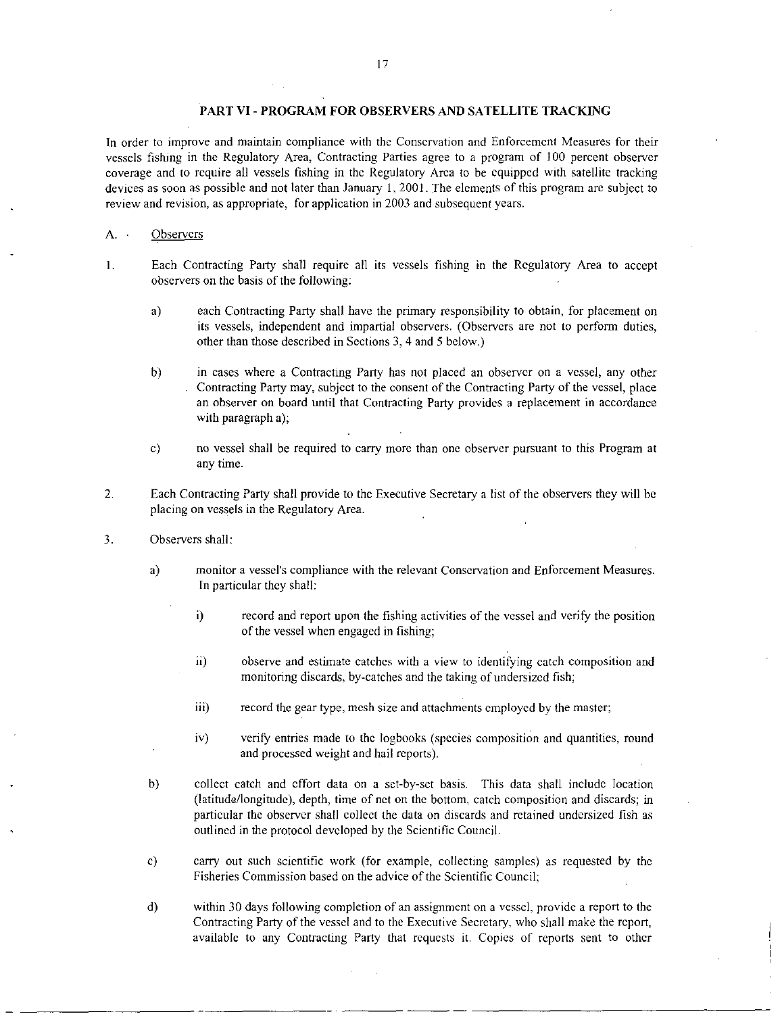#### PART VI - PROGRAM FOR OBSERVERS AND SATELLITE TRACKING

In order to improve and maintain compliance with the Conservation and Enforcement Measures for their vessels fishing in the Regulatory Area, Contracting Parties agree to a program of 100 percent observer coverage and to require all vessels fishing in the Regulatory Area to be equipped with satellite tracking devices as soon as possible and not later than January 1, 2001. The elements of this program are subject to review and revision, as appropriate, for application in 2003 and subsequent years.

#### A. Observers

- Each Contracting Party shall require all its vessels fishing in the Regulatory Area to accept  $\mathbf{1}$ . observers on the basis of the following:
	- a) each Contracting Party shall have the primary responsibility to obtain, for placement on its vessels, independent and impartial observers. (Observers are not to perform duties, other than those described in Sections 3, 4 and 5 below.)
	- b) in cases where a Contracting Party has not placed an observer on a vessel, any other Contracting Party may, subject to the consent of the Contracting Party of the vessel, place an observer on board until that Contracting Party provides a replacement in accordance with paragraph a);
	- c) no vessel shall be required to carry more than one observer pursuant to this Program at any time.
- $\overline{2}$ . Each Contracting Party shall provide to the Executive Secretary a list of the observers they will be placing on vessels in the Regulatory Area.
- 3. Observers shall:
	- a) monitor a vessel's compliance with the relevant Conservation and Enforcement Measures. In particular they shall:
		- i) record and report upon the fishing activities of the vessel and verify the position of the vessel when engaged in fishing;
		- ii) observe and estimate catches with a view to identifying catch composition and monitoring discards, by-catches and the taking of undersized fish;
		- iii) record the gear type, mesh size and attachments employed by the master;
		- iv) verify entries made to the logbooks (species composition and quantities, round and processed weight and hail reports).
	- b) collect catch and effort data on a set-by-set basis. This data shall include location (latitude/longitude), depth, time of net on the bottom, catch composition and discards; in particular the observer shall collect the data on discards and retained undersized fish as outlined in the protocol developed by the Scientific Council.
	- c) carry out such scientific work (for example, collecting samples) as requested by the Fisheries Commission based on the advice of the Scientific Council;
	- d) within 30 days following completion of an assignment on a vessel, provide a report to the Contracting Party of the vessel and to the Executive Secretary, who shall make the report, available to any Contracting Party that requests it. Copies of reports sent to other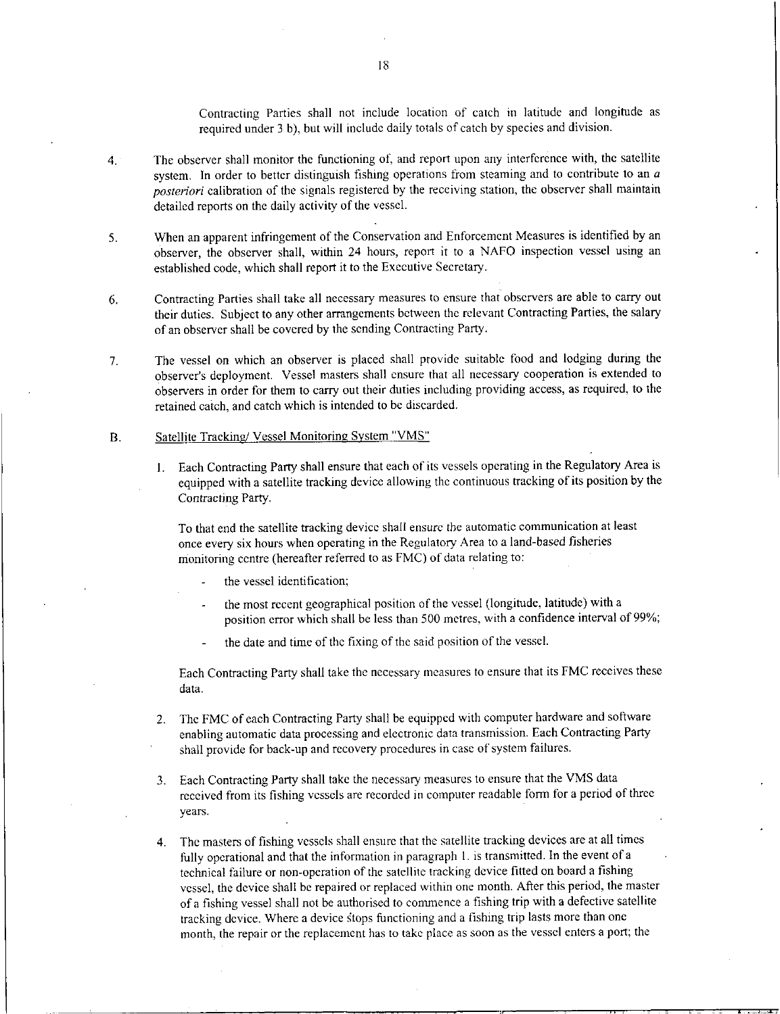Contracting Parties shall not include location of catch in latitude and longitude as required under 3 b), but will include daily totals of catch by species and division.

- 4. The observer shall monitor the functioning of, and report upon any interference with, the satellite system. In order to better distinguish fishing operations from steaming and to contribute to an *a posteriori* calibration of the signals registered by the receiving station, the observer shall maintain detailed reports on the daily activity of the vessel.
- 5. When an apparent infringement of the Conservation and Enforcement Measures is identified by an observer, the observer shall, within 24 hours, report it to a NAFO inspection vessel using an established code, which shall report it to the Executive Secretary.
- 6. Contracting Parties shall take all necessary measures to ensure that observers are able to carry out their duties. Subject to any other arrangements between the relevant Contracting Parties, the salary of an observer shall be covered by the sending Contracting Party.
- 7. The vessel on which an observer is placed shall provide suitable food and lodging during the observer's deployment. Vessel masters shall ensure that all necessary cooperation is extended to observers in order for them to carry out their duties including providing access, as required, to the retained catch, and catch which is intended to be discarded.

#### B. Satellite Tracking/ Vessel Monitoring System "VMS"

1. Each Contracting Party shall ensure that each of its vessels operating in the Regulatory Area is equipped with a satellite tracking device allowing the continuous tracking of its position by the Contracting Party.

To that end the satellite tracking device shall ensure the automatic communication at least once every six hours when operating in the Regulatory Area to a land-based fisheries monitoring centre (hereafter referred to as FMC) of data relating to:

- the vessel identification;
- the most recent geographical position of the vessel (longitude, latitude) with a  $\ddot{\phantom{a}}$ position error which shall be less than 500 metres, with a confidence interval of 99%;
- the date and time of the fixing of the said position of the vessel.

Each Contracting Party shall take the necessary measures to ensure that its FMC receives these data.

- 2. The FMC of each Contracting Party shall be equipped with computer hardware and software enabling automatic data processing and electronic data transmission. Each Contracting Party shall provide for back-up and recovery procedures in case of system failures.
- 3. Each Contracting Party shall take the necessary measures to ensure that the VMS data received from its fishing vessels are recorded in computer readable form for a period of three years.
- 4. The masters of fishing vessels shall ensure that the satellite tracking devices are at all times fully operational and that the information in paragraph I. is transmitted. In the event of a technical failure or non-operation of the satellite tracking device fitted on board a fishing vessel, the device shall be repaired or replaced within one month. After this period, the master of a fishing vessel shall not be authorised to commence a fishing trip with a defective satellite tracking device. Where a device stops functioning and a fishing trip lasts more than one month, the repair or the replacement has to take place as soon as the vessel enters a port; the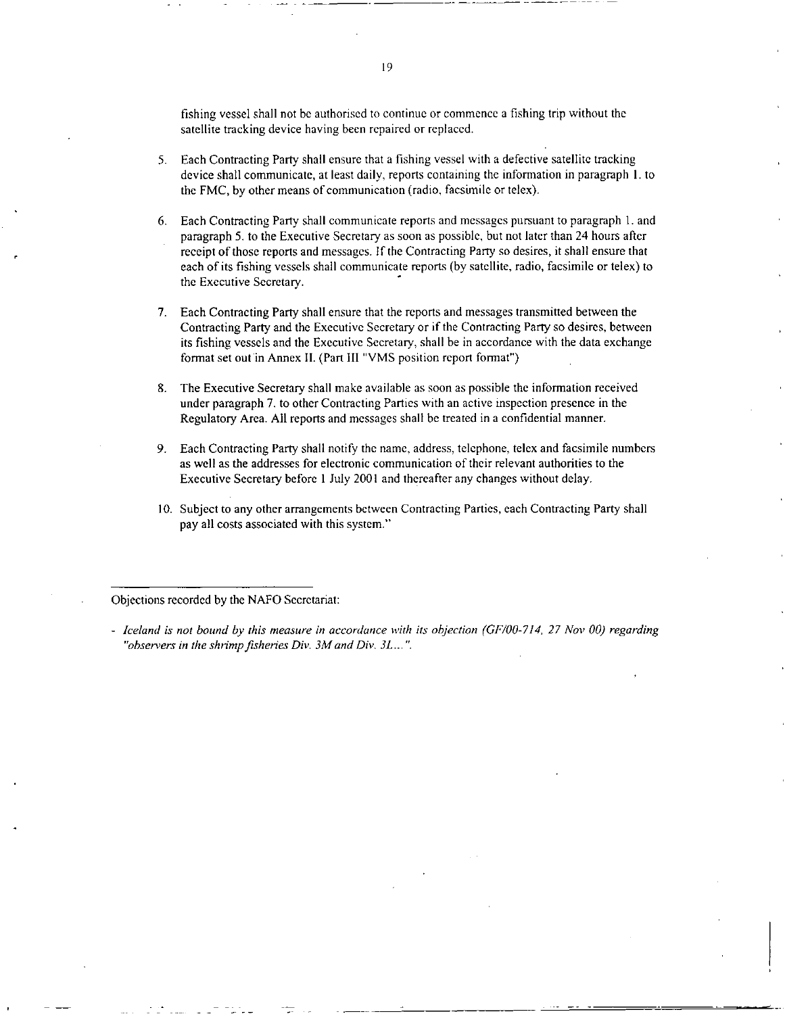fishing vessel shall not be authorised to continue or commence a fishing trip without the satellite tracking device having been repaired or replaced.

- 5. Each Contracting Party shall ensure that a fishing vessel with a defective satellite tracking device shall communicate, at least daily, reports containing the information in paragraph I. to the FMC, by other means of communication (radio. facsimile or telex).
- 6. Each Contracting Party shall communicate reports and messages pursuant to paragraph 1. and paragraph 5. to the Executive Secretary as soon as possible, but not later than 24 hours after receipt of those reports and messages. If the Contracting Party so desires, it shall ensure that each of its fishing vessels shall communicate reports (by satellite, radio, facsimile or telex) to the Executive Secretary.
- 7. Each Contracting Party shall ensure that the reports and messages transmitted between the Contracting Party and the Executive Secretary or if the Contracting Party so desires, between its fishing vessels and the Executive Secretary, shall be in accordance with the data exchange format set out in Annex II. (Part III "VMS position report format")
- 8. The Executive Secretary shall make available as soon as possible the information received under paragraph 7. to other Contracting Parties with an active inspection presence in the Regulatory Area. All reports and messages shall be treated in a confidential manner.
- 9. Each Contracting Party shall notify the name, address, telephone, telex and facsimile numbers as well as the addresses for electronic communication of their relevant authorities to the Executive Secretary before 1 July 2001 and thereafter any changes without delay.
- 10. Subject to any other arrangements between Contracting Parties, each Contracting Party shall pay all costs associated with this system."

Objections recorded by the NAFO Secretariat:

*<sup>-</sup> Iceland is not bound by this measure in accordance with its objection (GF/00-714, 27 Nov 00) regarding "observers in the shrimp fisheries Div. 3M and Div. 31....".*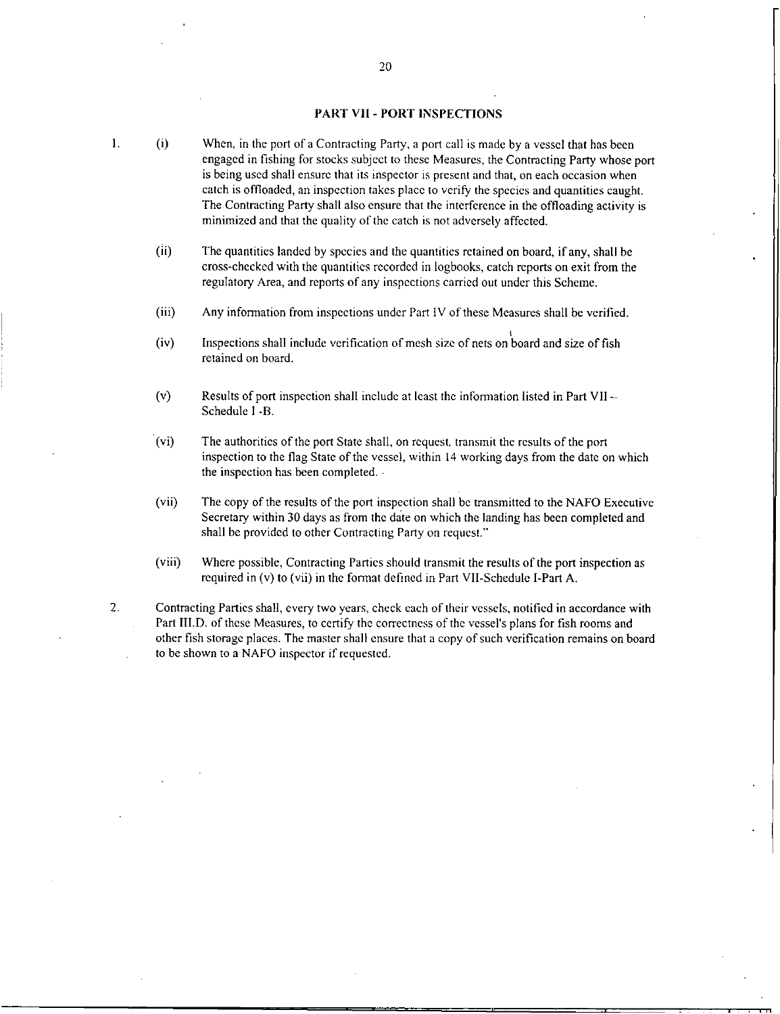#### PART VII - PORT INSPECTIONS

- (i) When, in the port of a Contracting Party, a port call is made by a vessel that has been engaged in fishing for stocks subject to these Measures, the Contracting Party whose port is being used shall ensure that its inspector is present and that, on each occasion when catch is offloaded, an inspection takes place to verify the species and quantities caught. The Contracting Party shall also ensure that the interference in the offloading activity is minimized and that the quality of the catch is not adversely affected.
	- (ii) The quantities landed by species and the quantities retained on board, if any, shall be cross-checked with the quantities recorded in logbooks, catch reports on exit from the regulatory Area, and reports of any inspections carried out under this Scheme.
	- (iii) Any information from inspections under Part IV of these Measures shall be verified.
	- (iv) Inspections shall include verification of mesh size of nets on board and size of fish retained on board.
	- (v) Results of port inspection shall include at least the information listed in Part VII Schedule I -B.
	- (vi) The authorities of the port State shall, on request, transmit the results of the port inspection to the flag State of the vessel, within 14 working days from the date on which the inspection has been completed. •
	- (vii) The copy of the results of the port inspection shall be transmitted to the NAFO Executive Secretary within 30 days as from the date on which the landing has been completed and shall be provided to other Contracting Party on request."
	- (viii) Where possible, Contracting Parties should transmit the results of the port inspection as required in (v) to (vii) in the format defined in Part VII-Schedule I-Part A.

 $\blacksquare$ 

2. Contracting Parties shall, every two years, check each of their vessels, notified in accordance with Part III.D. of these Measures, to certify the correctness of the vessel's plans for fish rooms and other fish storage places. The master shall ensure that a copy of such verification remains on board to be shown to a NAFO inspector if requested.

20

 $\mathbf{1}$ .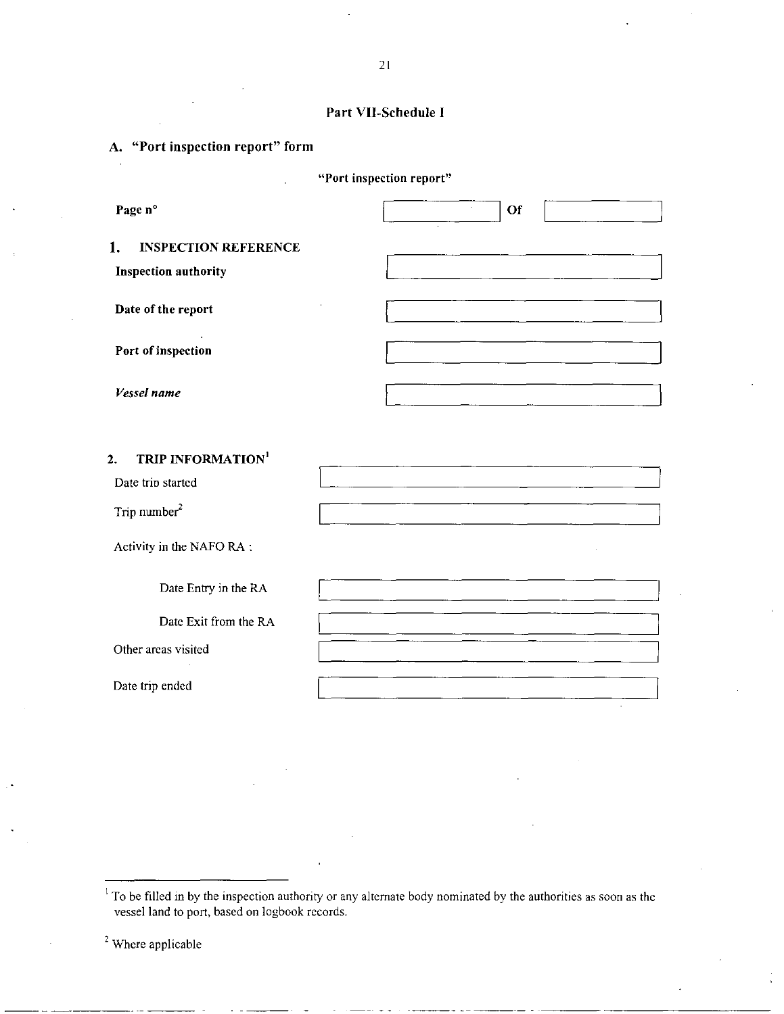| Part VII-Schedule I |  |
|---------------------|--|
|---------------------|--|

|                                                    | "Port inspection report" |
|----------------------------------------------------|--------------------------|
| Page n°                                            | $\epsilon$<br>Of         |
| <b>INSPECTION REFERENCE</b><br>1.                  |                          |
| <b>Inspection authority</b>                        |                          |
| Date of the report                                 |                          |
| Port of inspection                                 |                          |
| Vessel name                                        |                          |
| <b>TRIP INFORMATION</b><br>2.<br>Date trip started |                          |
| Trip number <sup>2</sup>                           |                          |
| Activity in the NAFO RA:                           |                          |
| Date Entry in the RA                               |                          |
| Date Exit from the RA                              |                          |
|                                                    |                          |

 $\epsilon$ 

 $2$  Where applicable

To be filled in by the inspection authority or any alternate body nominated by the authorities as soon as the vessel land to port, based on logbook records.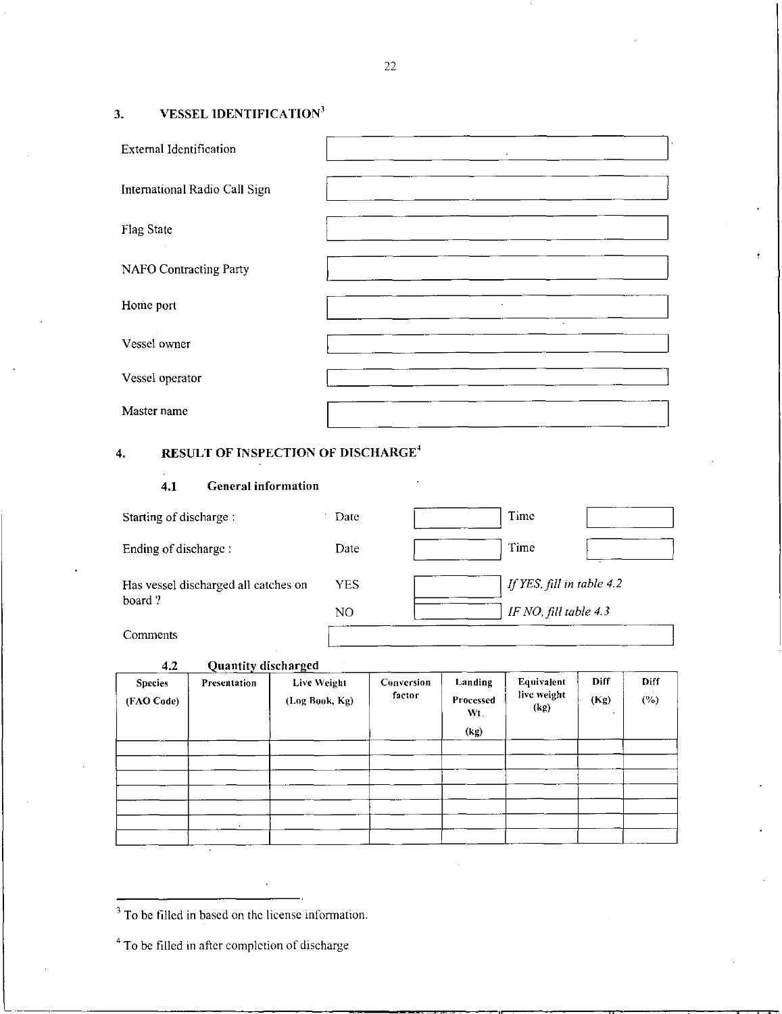# 3. VESSEL IDENTIFICATION'

| <b>External Identification</b> | $\sim$ |  |
|--------------------------------|--------|--|
| International Radio Call Sign  |        |  |
| <b>Flag State</b>              |        |  |
| <b>NAFO Contracting Party</b>  |        |  |
| Home port                      |        |  |
| Vessel owner                   |        |  |
| Vessel operator                |        |  |
| Master name                    |        |  |

# 4. RESULT OF INSPECTION OF DISCHARGE'

# 4.1 General information

| Starting of discharge:                         | Date | Time                      |
|------------------------------------------------|------|---------------------------|
| Ending of discharge:                           | Date | Time                      |
| Has vessel discharged all catches on<br>board? | YES. | If YES, fill in table 4.2 |
| Comments                                       | NO.  | IF NO, fill table 4.3     |

4.2 Quantity discharged

| <b>Species</b><br>(FAO Code) | Presentation | ---<br>Live Weight<br>(Log Book, Kg) | Conversion<br>factor | Landing<br>Processed<br>Wt. | Equivalent<br>live weight<br>(hg) | Diff<br>(Kg) | Diff<br>$(\%)$ |
|------------------------------|--------------|--------------------------------------|----------------------|-----------------------------|-----------------------------------|--------------|----------------|
|                              |              |                                      |                      | (kg)                        |                                   |              |                |
|                              |              |                                      |                      |                             |                                   |              |                |
|                              |              |                                      |                      |                             |                                   |              |                |
|                              |              |                                      |                      |                             |                                   |              |                |
|                              | $\cdot$      |                                      |                      |                             |                                   |              |                |

<sup>&</sup>lt;sup>3</sup> To be filled in based on the license information.

 $4$  To be filled in after completion of discharge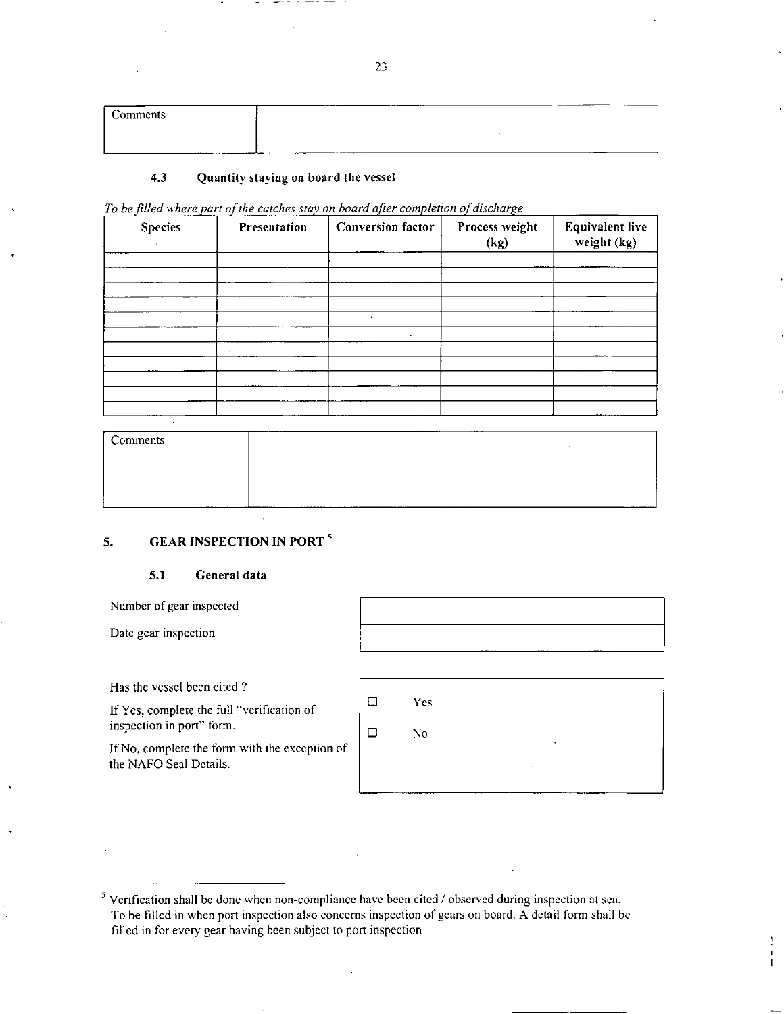| comments |          |
|----------|----------|
|          |          |
|          | ________ |

#### 4.3 Quantity staying on board the vessel

| To be filled where part of the catches stay on board after completion of discharge |  |  |  |  |  |  |
|------------------------------------------------------------------------------------|--|--|--|--|--|--|
|------------------------------------------------------------------------------------|--|--|--|--|--|--|

| <b>Species</b> | Presentation | <b>Conversion factor</b> | Process weight<br>(kg) | <b>Equivalent live</b><br>weight (kg) |
|----------------|--------------|--------------------------|------------------------|---------------------------------------|
|                |              |                          |                        |                                       |
|                |              |                          |                        |                                       |
|                |              | ٠                        |                        |                                       |
|                |              |                          |                        |                                       |
|                |              |                          |                        |                                       |
|                |              |                          |                        |                                       |
|                |              |                          |                        |                                       |

| Comments | ______ |  |
|----------|--------|--|
|          |        |  |
|          |        |  |
|          |        |  |

### 5. GEAR INSPECTION IN PORT<sup>5</sup>

#### 5.1 General data

Number of gear inspected

Date gear inspection

Has the vessel been cited ?

If Yes, complete the full "verification of inspection in port" form.

If No, complete the form with the exception of the NAFO Seal Details.

| $\Box$ | Yes |   |  |
|--------|-----|---|--|
| □      | No  | ٠ |  |
|        |     | ٠ |  |
|        |     |   |  |

 $5$  Verification shall be done when non-compliance have been cited / observed during inspection at sea. To be filled in when port inspection also concerns inspection of gears on board. A detail form shall be filled in for every gear having been subject to port inspection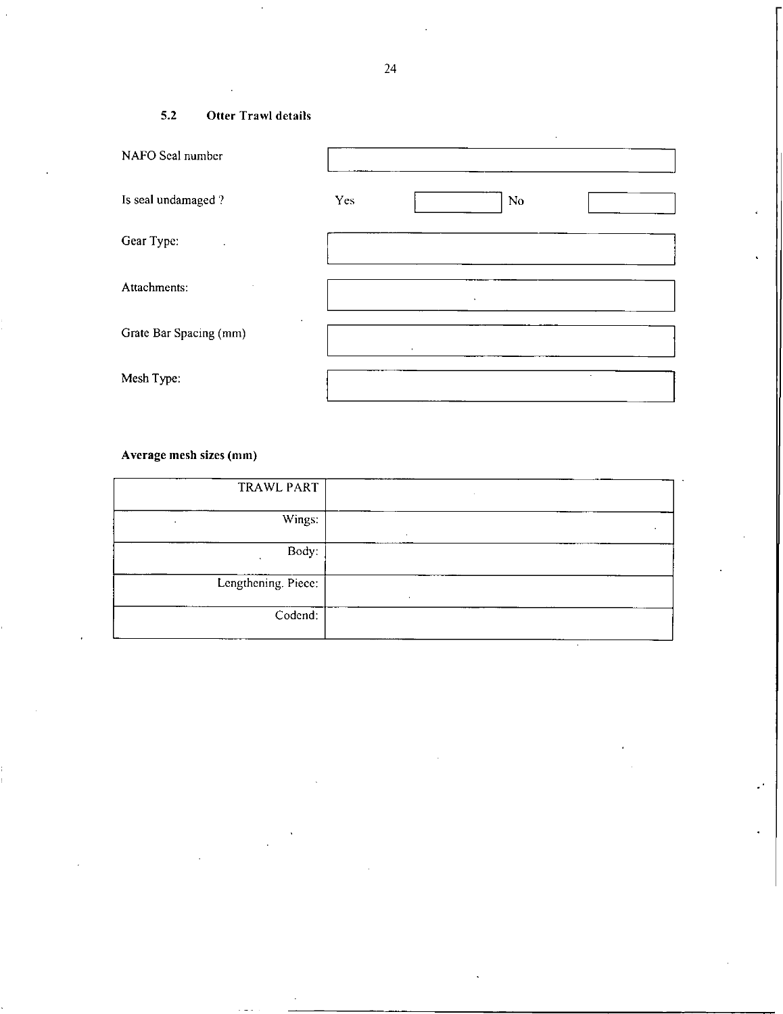# 5.2 Otter Trawl details

| NAFO Seal number            |     |           |    |        |  |
|-----------------------------|-----|-----------|----|--------|--|
| Is seal undamaged?          | Yes |           | No |        |  |
| Gear Type:                  |     |           |    |        |  |
| Attachments:                |     |           |    |        |  |
| ٠<br>Grate Bar Spacing (mm) |     | $\bullet$ |    |        |  |
| Mesh Type:                  |     |           |    | $\sim$ |  |

# Average mesh sizes (mm)

|              | TRAWL PART          |
|--------------|---------------------|
| $\mathbf{r}$ | Wings:              |
|              | Body:               |
| $\bullet$    | Lengthening. Piece: |
|              | Codend:             |

J,

.

24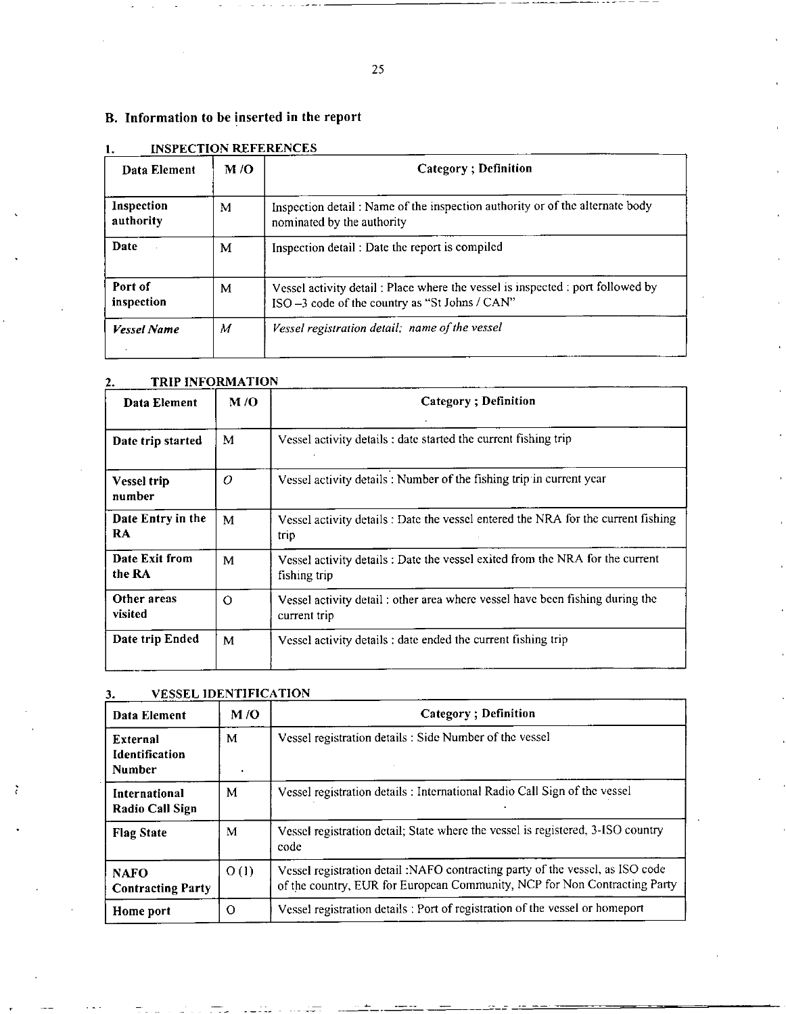# B. Information to be inserted in the report

| Data Element            | M/O | Category; Definition                                                                                                             |
|-------------------------|-----|----------------------------------------------------------------------------------------------------------------------------------|
| Inspection<br>authority | м   | Inspection detail: Name of the inspection authority or of the alternate body<br>nominated by the authority                       |
| Date                    | M   | Inspection detail: Date the report is compiled                                                                                   |
| Port of<br>inspection   | М   | Vessel activity detail: Place where the vessel is inspected : port followed by<br>ISO -3 code of the country as "St Johns / CAN" |
| <b>Vessel Name</b>      | M   | Vessel registration detail: name of the vessel                                                                                   |

# **INSPECTION REFERENCES**

#### **TRIP INFORMATION**  $2.$

| Data Element                 | M/O      | <b>Category</b> ; Definition                                                                  |
|------------------------------|----------|-----------------------------------------------------------------------------------------------|
| Date trip started            | M        | Vessel activity details : date started the current fishing trip                               |
| <b>Vessel trip</b><br>number | O        | Vessel activity details: Number of the fishing trip in current year                           |
| Date Entry in the<br>RA      | M        | Vessel activity details : Date the vessel entered the NRA for the current fishing<br>trip     |
| Date Exit from<br>the RA     | M        | Vessel activity details : Date the vessel exited from the NRA for the current<br>fishing trip |
| Other areas<br>visited       | $\Omega$ | Vessel activity detail: other area where vessel have been fishing during the<br>current trip  |
| Date trip Ended              | M        | Vessel activity details : date ended the current fishing trip                                 |

| Data Element                                | M/O  | <b>Category</b> ; Definition                                                                                                                               |
|---------------------------------------------|------|------------------------------------------------------------------------------------------------------------------------------------------------------------|
| External<br>Identification<br><b>Number</b> | М    | Vessel registration details : Side Number of the vessel                                                                                                    |
| International<br>Radio Call Sign            | M    | Vessel registration details : International Radio Call Sign of the vessel                                                                                  |
| <b>Flag State</b>                           | M    | Vessel registration detail; State where the vessel is registered, 3-ISO country<br>code                                                                    |
| <b>NAFO</b><br><b>Contracting Party</b>     | O(1) | Vessel registration detail :NAFO contracting party of the vessel, as ISO code<br>of the country, EUR for European Community, NCP for Non Contracting Party |
| Home port                                   | O    | Vessel registration details : Port of registration of the vessel or homeport                                                                               |

**VESSEL IDENTIFICATION** 

ž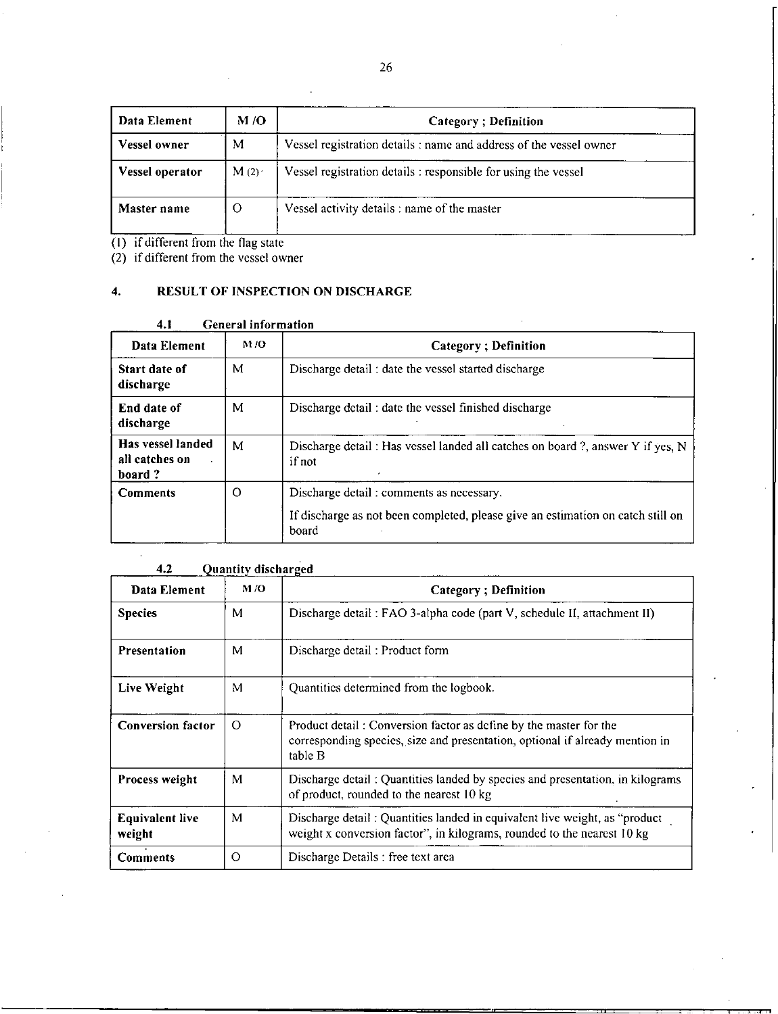| Data Element        | M/O  | Category; Definition                                               |
|---------------------|------|--------------------------------------------------------------------|
| <b>Vessel owner</b> | М    | Vessel registration details : name and address of the vessel owner |
| Vessel operator     | M(2) | Vessel registration details : responsible for using the vessel     |
| Master name         | O    | Vessel activity details : name of the master                       |

 $(1)$  if different from the flag state

(2) if different from the vessel owner

# **4. RESULT OF INSPECTION ON DISCHARGE**

#### **4.1 General information**

| Data Element                                  | M/O | <b>Category</b> ; Definition                                                                                                         |
|-----------------------------------------------|-----|--------------------------------------------------------------------------------------------------------------------------------------|
| Start date of<br>discharge                    | М   | Discharge detail: date the vessel started discharge                                                                                  |
| End date of<br>discharge                      | М   | Discharge detail: date the vessel finished discharge                                                                                 |
| Has vessel landed<br>all catches on<br>board? | M   | Discharge detail: Has vessel landed all catches on board?, answer Y if yes, N<br>if not                                              |
| <b>Comments</b>                               | O   | Discharge detail: comments as necessary.<br>If discharge as not been completed, please give an estimation on catch still on<br>board |

# **4.2 Quantity discharged**

 $\bar{z}$ 

| Data Element                     | M/O      | <b>Category</b> ; Definition                                                                                                                                 |
|----------------------------------|----------|--------------------------------------------------------------------------------------------------------------------------------------------------------------|
| <b>Species</b>                   | М        | Discharge detail: FAO 3-alpha code (part V, schedule II, attachment II)                                                                                      |
| <b>Presentation</b>              | M        | Discharge detail: Product form                                                                                                                               |
| Live Weight                      | M        | Quantities determined from the logbook.                                                                                                                      |
| <b>Conversion factor</b>         | $\Omega$ | Product detail: Conversion factor as define by the master for the<br>corresponding species, size and presentation, optional if already mention in<br>table B |
| Process weight                   | M        | Discharge detail: Quantities landed by species and presentation, in kilograms<br>of product, rounded to the nearest 10 kg                                    |
| <b>Equivalent live</b><br>weight | М        | Discharge detail: Quantities landed in equivalent live weight, as "product"<br>weight x conversion factor", in kilograms, rounded to the nearest 10 kg       |
| Comments                         | $\Omega$ | Discharge Details : free text area                                                                                                                           |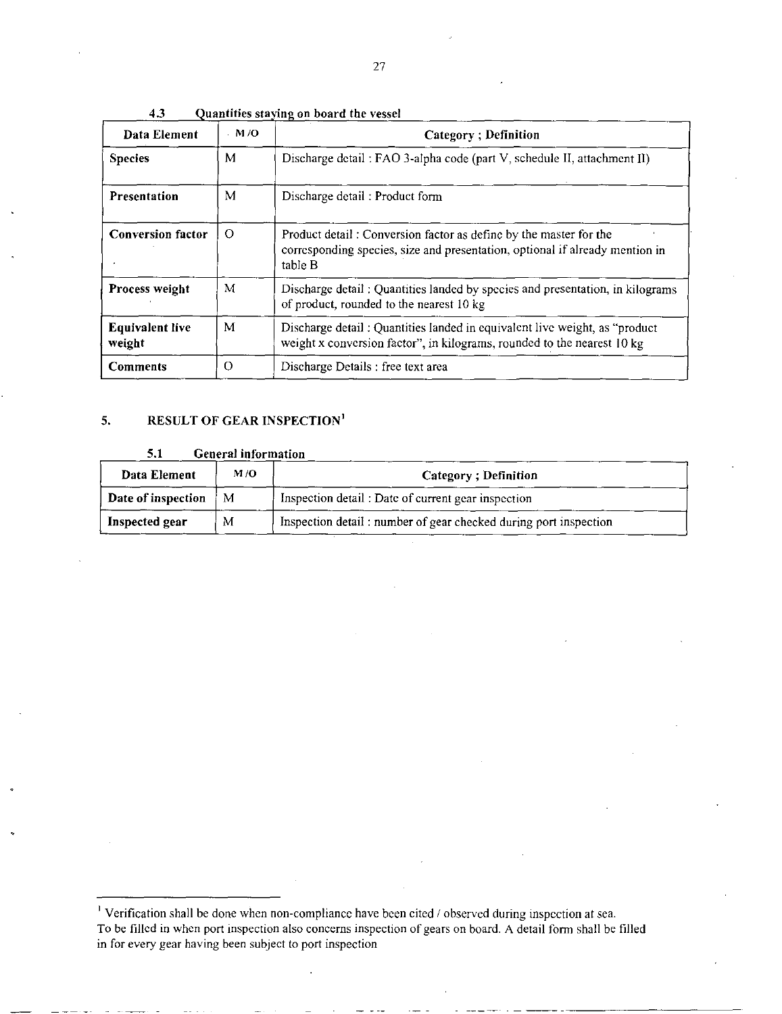| Data Element                     | $-M/O$   | <b>Category</b> ; Definition                                                                                                                                 |
|----------------------------------|----------|--------------------------------------------------------------------------------------------------------------------------------------------------------------|
| <b>Species</b>                   | M        | Discharge detail: FAO 3-alpha code (part V, schedule II, attachment II)                                                                                      |
| <b>Presentation</b>              | M        | Discharge detail: Product form                                                                                                                               |
| <b>Conversion factor</b>         | $\Omega$ | Product detail: Conversion factor as define by the master for the<br>corresponding species, size and presentation, optional if already mention in<br>table B |
| <b>Process weight</b>            | M        | Discharge detail: Quantities landed by species and presentation, in kilograms<br>of product, rounded to the nearest 10 kg                                    |
| <b>Equivalent live</b><br>weight | M        | Discharge detail: Quantities landed in equivalent live weight, as "product<br>weight x conversion factor", in kilograms, rounded to the nearest 10 kg        |
| <b>Comments</b>                  | $\Omega$ | Discharge Details : free text area                                                                                                                           |

**4.3** Quantities staying on board the vessel

#### **5. RESULT OF GEAR INSPECTION'**

#### **5.1 General information**

| Data Element       | M/O | Category: Definition                                             |
|--------------------|-----|------------------------------------------------------------------|
| Date of inspection | М   | Inspection detail: Date of current gear inspection               |
| Inspected gear     | М   | Inspection detail: number of gear checked during port inspection |

<sup>&</sup>lt;sup>1</sup> Verification shall be done when non-compliance have been cited  $\ell$  observed during inspection at sea. To be filled in when port inspection also concerns inspection of gears on board. A detail form shall be filled in for every gear having been subject to port inspection